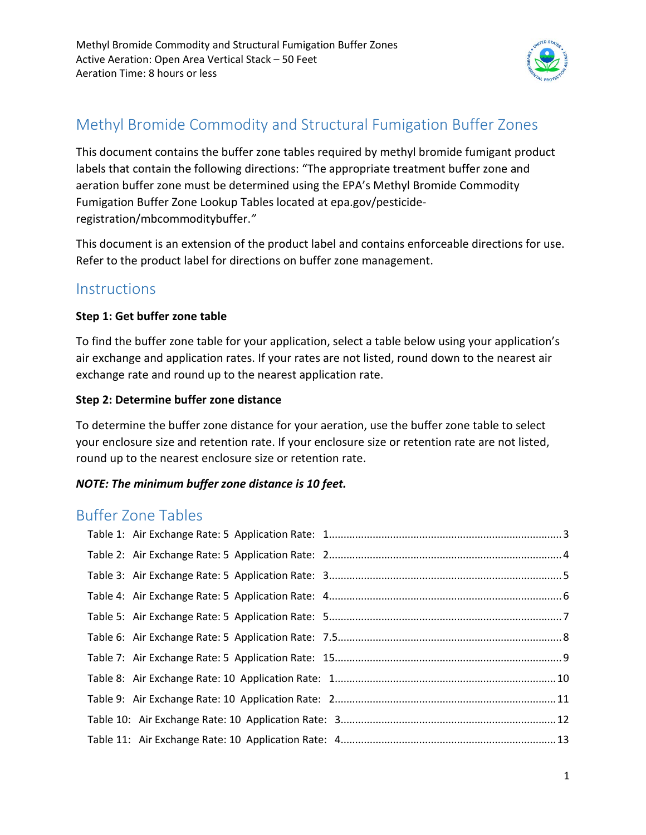

# Methyl Bromide Commodity and Structural Fumigation Buffer Zones

This document contains the buffer zone tables required by methyl bromide fumigant product labels that contain the following directions: "The appropriate treatment buffer zone and aeration buffer zone must be determined using the EPA's Methyl Bromide Commodity Fumigation Buffer Zone Lookup Tables located at epa.gov/pesticideregistration/mbcommoditybuffer.*"* 

This document is an extension of the product label and contains enforceable directions for use. Refer to the product label for directions on buffer zone management.

## **Instructions**

#### **Step 1: Get buffer zone table**

To find the buffer zone table for your application, select a table below using your application's air exchange and application rates. If your rates are not listed, round down to the nearest air exchange rate and round up to the nearest application rate.

#### **Step 2: Determine buffer zone distance**

To determine the buffer zone distance for your aeration, use the buffer zone table to select your enclosure size and retention rate. If your enclosure size or retention rate are not listed, round up to the nearest enclosure size or retention rate.

#### *NOTE: The minimum buffer zone distance is 10 feet.*

# Buffer Zone Tables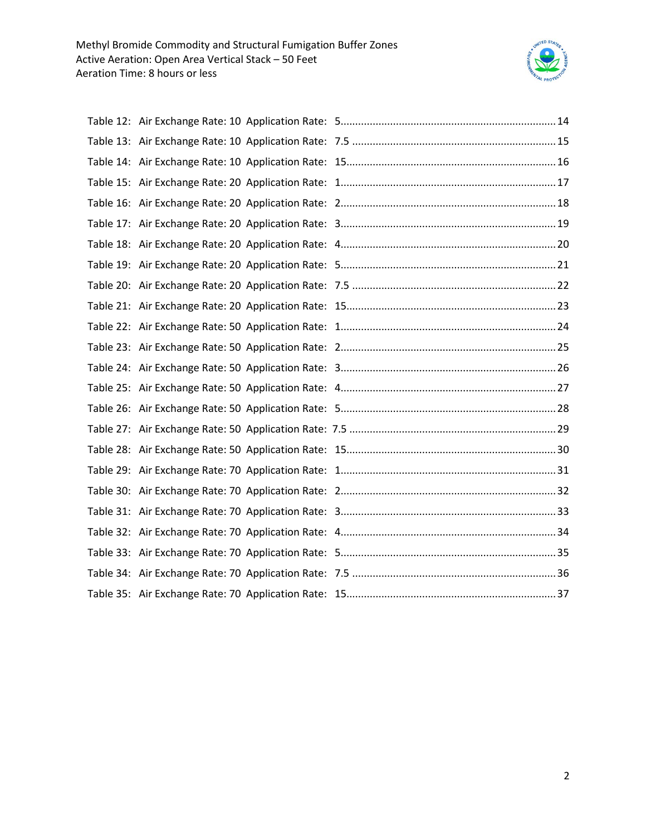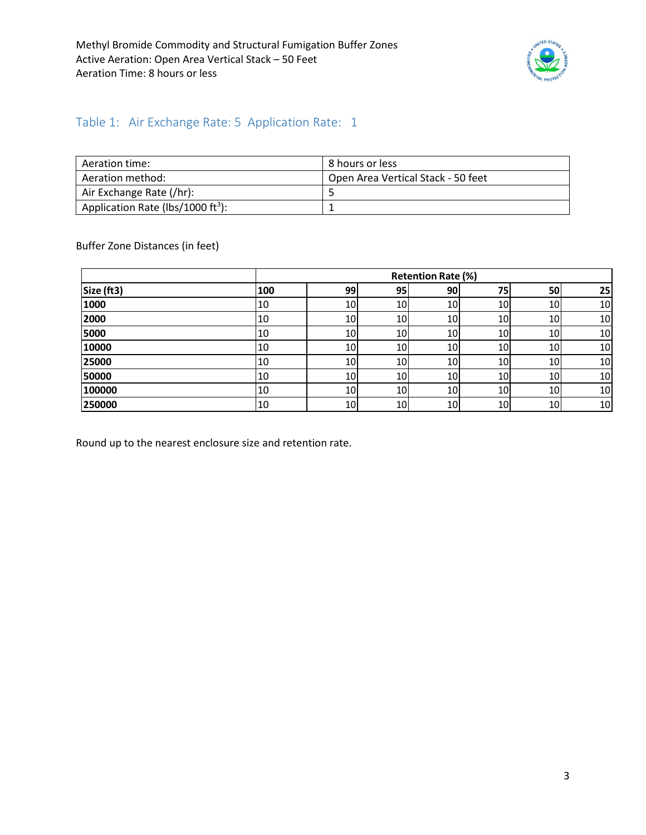

### <span id="page-2-0"></span>Table 1: Air Exchange Rate: 5 Application Rate: 1

| Aeration time:                                | 8 hours or less                    |
|-----------------------------------------------|------------------------------------|
| Aeration method:                              | Open Area Vertical Stack - 50 feet |
| Air Exchange Rate (/hr):                      |                                    |
| Application Rate (lbs/1000 ft <sup>3</sup> ): |                                    |

Buffer Zone Distances (in feet)

|            |     |    |    | <b>Retention Rate (%)</b> |    |     |    |
|------------|-----|----|----|---------------------------|----|-----|----|
| Size (ft3) | 100 | 99 | 95 | 90                        | 75 | 50  | 25 |
| 1000       | 10  | 10 | 10 | 10                        | 10 | 10  | 10 |
| 2000       | 10  | 10 | 10 | 10                        | 10 | 10  | 10 |
| 5000       | 10  | 10 | 10 | 10                        | 10 | 10I | 10 |
| 10000      | 10  | 10 | 10 | 10                        | 10 | 10  | 10 |
| 25000      | 10  | 10 | 10 | 10                        | 10 | 10  | 10 |
| 50000      | 10  | 10 | 10 | 10                        | 10 | 10  | 10 |
| 100000     | 10  | 10 | 10 | 10                        | 10 | 10  | 10 |
| 250000     | 10  | 10 | 10 | 10                        | 10 | 10  | 10 |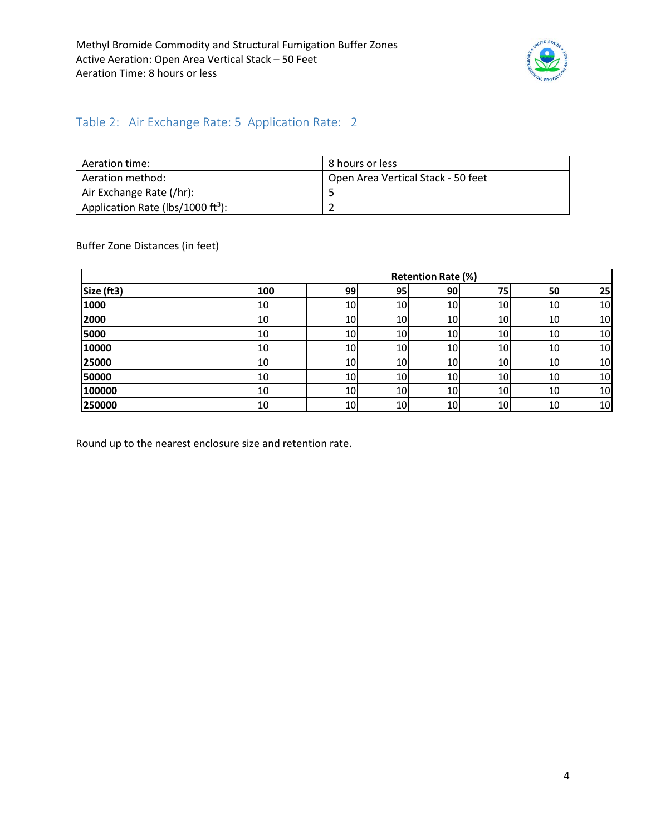

### <span id="page-3-0"></span>Table 2: Air Exchange Rate: 5 Application Rate: 2

| Aeration time:                                | 8 hours or less                    |
|-----------------------------------------------|------------------------------------|
| Aeration method:                              | Open Area Vertical Stack - 50 feet |
| Air Exchange Rate (/hr):                      |                                    |
| Application Rate (lbs/1000 ft <sup>3</sup> ): |                                    |

Buffer Zone Distances (in feet)

|            |     |    |    | <b>Retention Rate (%)</b> |    |     |    |
|------------|-----|----|----|---------------------------|----|-----|----|
| Size (ft3) | 100 | 99 | 95 | <b>90</b>                 | 75 | 50  | 25 |
| 1000       | 10  | 10 | 10 | 10                        | 10 | 10  | 10 |
| 2000       | 10  | 10 | 10 | 10                        | 10 | 10  | 10 |
| 5000       | 10  | 10 | 10 | 10                        | 10 | 10I | 10 |
| 10000      | 10  | 10 | 10 | 10                        | 10 | 10  | 10 |
| 25000      | 10  | 10 | 10 | 10                        | 10 | 10  | 10 |
| 50000      | 10  | 10 | 10 | 10                        | 10 | 10  | 10 |
| 100000     | 10  | 10 | 10 | 10                        | 10 | 10  | 10 |
| 250000     | 10  | 10 | 10 | 10                        | 10 | 10  | 10 |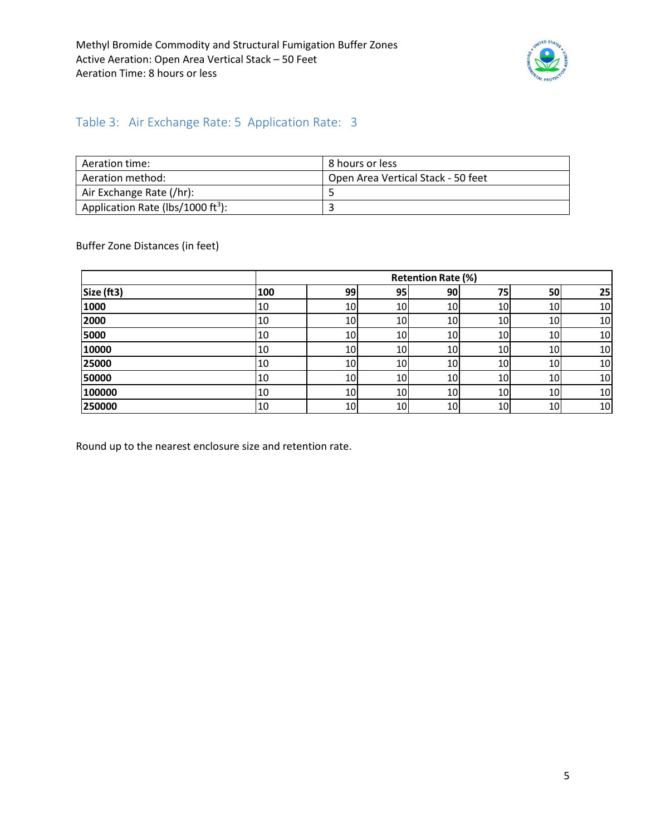

### <span id="page-4-0"></span>Table 3: Air Exchange Rate: 5 Application Rate: 3

| Aeration time:                                | 8 hours or less                    |
|-----------------------------------------------|------------------------------------|
| Aeration method:                              | Open Area Vertical Stack - 50 feet |
| Air Exchange Rate (/hr):                      |                                    |
| Application Rate (lbs/1000 ft <sup>3</sup> ): |                                    |

Buffer Zone Distances (in feet)

|            |     |    |    | <b>Retention Rate (%)</b> |    |                 |    |
|------------|-----|----|----|---------------------------|----|-----------------|----|
| Size (ft3) | 100 | 99 | 95 | <b>90</b>                 | 75 | 50              | 25 |
| 1000       | 10  | 10 | 10 | 10                        | 10 | 10              | 10 |
| 2000       | 10  | 10 | 10 | 10                        | 10 | 10 <sup>1</sup> | 10 |
| 5000       | 10  | 10 | 10 | 10                        | 10 | 10              | 10 |
| 10000      | 10  | 10 | 10 | 10                        | 10 | 10              | 10 |
| 25000      | 10  | 10 | 10 | 10                        | 10 | 10              | 10 |
| 50000      | 10  | 10 | 10 | 10                        | 10 | 10              | 10 |
| 100000     | 10  | 10 | 10 | 10                        | 10 | 10              | 10 |
| 250000     | 10  | 10 | 10 | 10                        | 10 | 10              | 10 |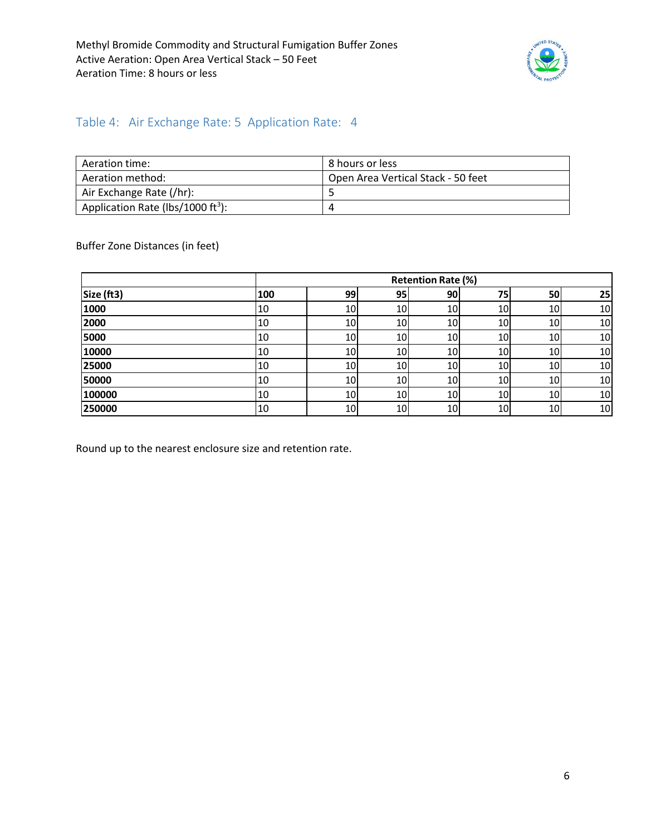

#### <span id="page-5-0"></span>Table 4: Air Exchange Rate: 5 Application Rate: 4

| Aeration time:                                | 8 hours or less                    |
|-----------------------------------------------|------------------------------------|
| Aeration method:                              | Open Area Vertical Stack - 50 feet |
| Air Exchange Rate (/hr):                      |                                    |
| Application Rate (lbs/1000 ft <sup>3</sup> ): |                                    |

Buffer Zone Distances (in feet)

|            |     |           |    | <b>Retention Rate (%)</b> |    |     |    |
|------------|-----|-----------|----|---------------------------|----|-----|----|
| Size (ft3) | 100 | 99        | 95 | 90                        | 75 | 50  | 25 |
| 1000       | 10  | 10        | 10 | 10                        | 10 | 10  | 10 |
| 2000       | 10  | 10        | 10 | 10                        | 10 | 10I | 10 |
| 5000       | 10  | 10        | 10 | 10                        | 10 | 10I | 10 |
| 10000      | 10  | 10        | 10 | 10                        | 10 | 10  | 10 |
| 25000      | 10  | 10        | 10 | 10                        | 10 | 10I | 10 |
| 50000      | 10  | <b>10</b> | 10 | 10                        | 10 | 10I | 10 |
| 100000     | 10  | 10        | 10 | 10                        | 10 | 10  | 10 |
| 250000     | 10  | 10        | 10 | 10                        | 10 | 10  | 10 |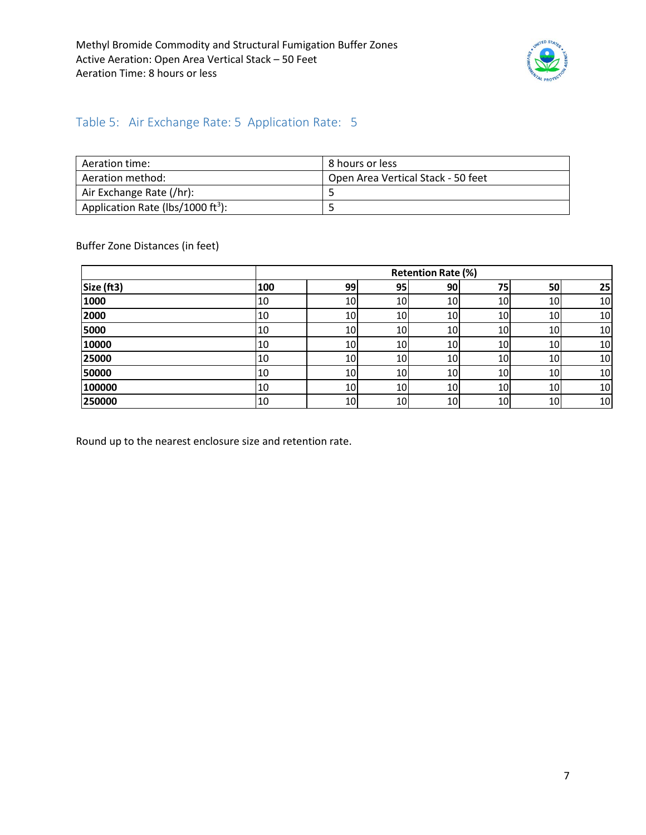

#### <span id="page-6-0"></span>Table 5: Air Exchange Rate: 5 Application Rate: 5

| Aeration time:                                | 8 hours or less                    |
|-----------------------------------------------|------------------------------------|
| Aeration method:                              | Open Area Vertical Stack - 50 feet |
| Air Exchange Rate (/hr):                      |                                    |
| Application Rate (lbs/1000 ft <sup>3</sup> ): |                                    |

Buffer Zone Distances (in feet)

|            |     |    |                 | <b>Retention Rate (%)</b> |    |                 |    |
|------------|-----|----|-----------------|---------------------------|----|-----------------|----|
| Size (ft3) | 100 | 99 | 95 <sub>1</sub> | 90                        | 75 | 50              | 25 |
| 1000       | 10  | 10 | 10              | 10                        | 10 | 10              | 10 |
| 2000       | 10  | 10 | 10              | 10                        | 10 | 10I             | 10 |
| 5000       | 10  | 10 | 10              | 10                        | 10 | 10 <sup>1</sup> | 10 |
| 10000      | 10  | 10 | 10              | 10                        | 10 | 10              | 10 |
| 25000      | 10  | 10 | 10              | 10                        | 10 | 10              | 10 |
| 50000      | 10  | 10 | 10              | 10                        | 10 | 10              | 10 |
| 100000     | 10  | 10 | 10              | 10                        | 10 | 10              | 10 |
| 250000     | 10  | 10 | 10              | 10                        | 10 | 10              | 10 |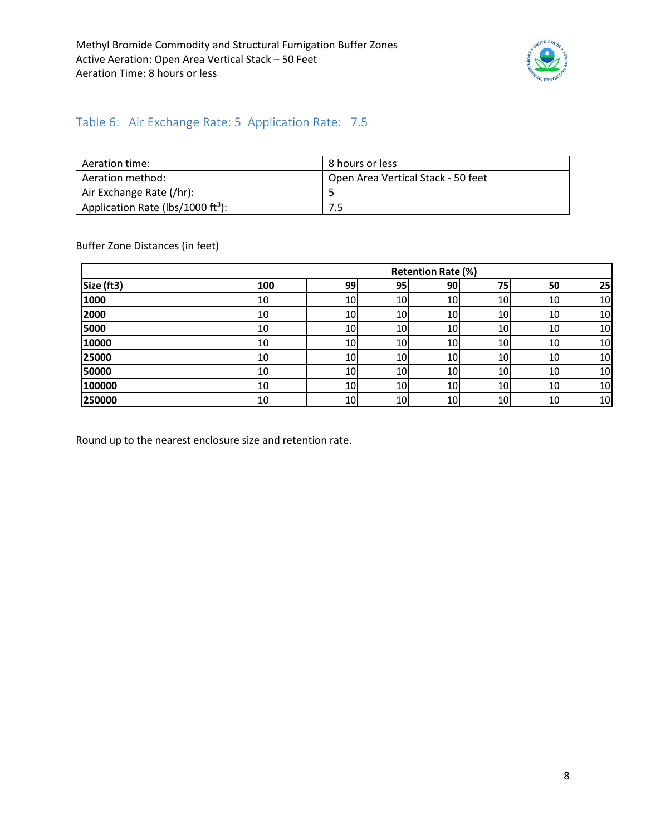

### <span id="page-7-0"></span>Table 6: Air Exchange Rate: 5 Application Rate: 7.5

| Aeration time:                                | 8 hours or less                    |
|-----------------------------------------------|------------------------------------|
| Aeration method:                              | Open Area Vertical Stack - 50 feet |
| Air Exchange Rate (/hr):                      |                                    |
| Application Rate (lbs/1000 ft <sup>3</sup> ): | 7.5                                |

Buffer Zone Distances (in feet)

|            |     |    |    | <b>Retention Rate (%)</b> |    |                 |    |
|------------|-----|----|----|---------------------------|----|-----------------|----|
| Size (ft3) | 100 | 99 | 95 | 90                        | 75 | 50              | 25 |
| 1000       | 10  | 10 | 10 | 10                        | 10 | 10              | 10 |
| 2000       | 10  | 10 | 10 | 10                        | 10 | 10I             | 10 |
| 5000       | 10  | 10 | 10 | 10                        | 10 | 10I             | 10 |
| 10000      | 10  | 10 | 10 | 10                        | 10 | 10              | 10 |
| 25000      | 10  | 10 | 10 | 10                        | 10 | 10 <sup>1</sup> | 10 |
| 50000      | 10  | 10 | 10 | 10                        | 10 | 10              | 10 |
| 100000     | 10  | 10 | 10 | 10                        | 10 | 10              | 10 |
| 250000     | 10  | 10 | 10 | 10                        | 10 | 10              | 10 |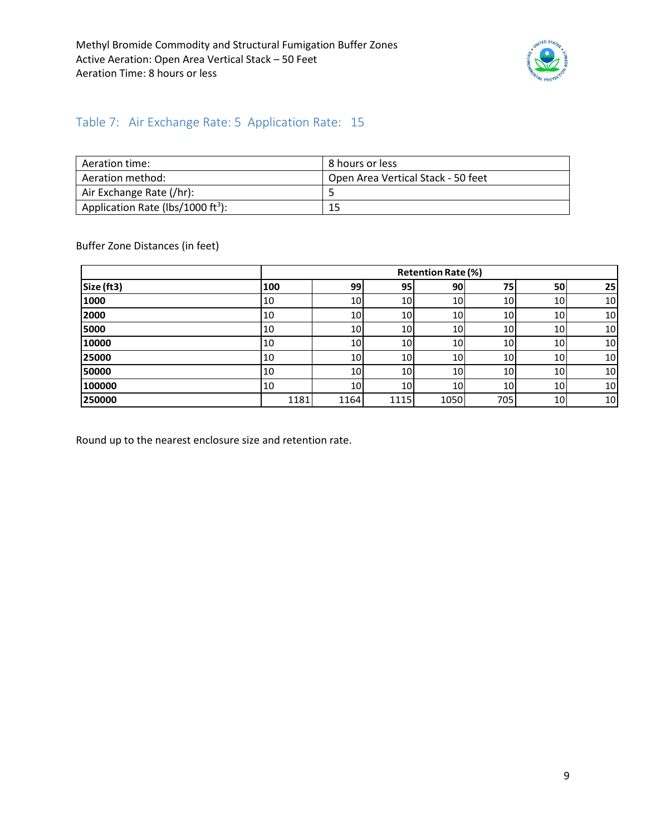

### <span id="page-8-0"></span>Table 7: Air Exchange Rate: 5 Application Rate: 15

| Aeration time:                                | 8 hours or less                    |
|-----------------------------------------------|------------------------------------|
| Aeration method:                              | Open Area Vertical Stack - 50 feet |
| Air Exchange Rate (/hr):                      |                                    |
| Application Rate (lbs/1000 ft <sup>3</sup> ): | 15                                 |

Buffer Zone Distances (in feet)

|            |      |                 |                 | <b>Retention Rate (%)</b> |                 |                 |    |
|------------|------|-----------------|-----------------|---------------------------|-----------------|-----------------|----|
| Size (ft3) | 100  | 99              | 95              | 90                        | 75              | 50              | 25 |
| 1000       | 10   | 10              | 10              | 10                        | 10              | 10 <sup>1</sup> | 10 |
| 2000       | 10   | 10              | 10 <sup> </sup> | 10                        | 10              | 10 <sup>1</sup> | 10 |
| 5000       | 10   | 10 <sub>l</sub> | 10 <sup>1</sup> | 10 <sub>l</sub>           | 10              | 10              | 10 |
| 10000      | 10   | 10              | 10 <sup>1</sup> | 10                        | 10              | 10 <sup>1</sup> | 10 |
| 25000      | 10   | 10              | 10 <sup>1</sup> | 10 <sub>l</sub>           | 10              | 10 <sup>1</sup> | 10 |
| 50000      | 10   | 10              | 10 <sub>l</sub> | 10                        | 10              | 10 <sup>1</sup> | 10 |
| 100000     | 10   | 10              | 10 <sup>1</sup> | 10 <sub>l</sub>           | 10 <sub>l</sub> | 10 <sup>1</sup> | 10 |
| 250000     | 1181 | 1164            | 1115            | 1050                      | 705             | <b>10</b>       | 10 |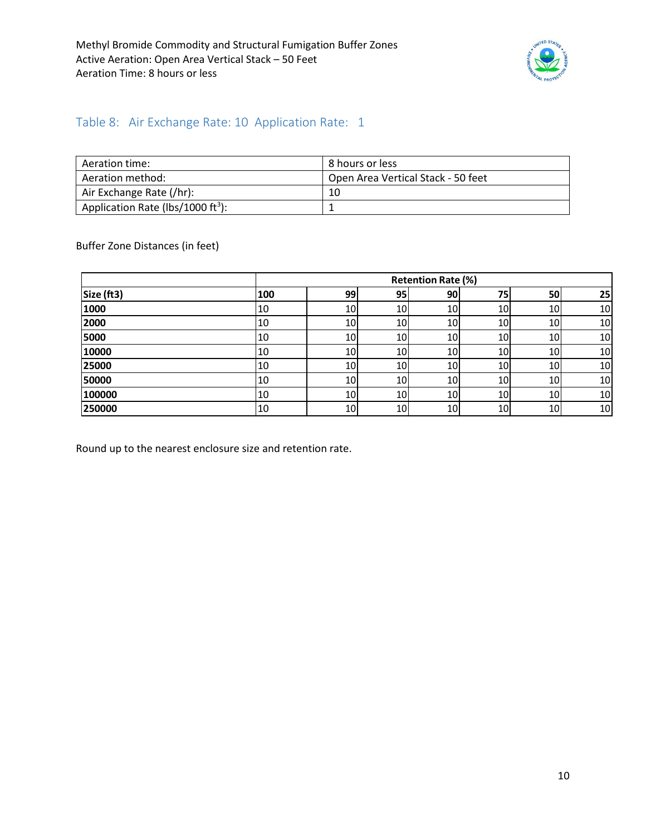

### <span id="page-9-0"></span>Table 8: Air Exchange Rate: 10 Application Rate: 1

| Aeration time:                                | 8 hours or less                    |
|-----------------------------------------------|------------------------------------|
| Aeration method:                              | Open Area Vertical Stack - 50 feet |
| Air Exchange Rate (/hr):                      | 10                                 |
| Application Rate (lbs/1000 ft <sup>3</sup> ): |                                    |

Buffer Zone Distances (in feet)

|            |     |    |                 | <b>Retention Rate (%)</b> |    |                 |    |
|------------|-----|----|-----------------|---------------------------|----|-----------------|----|
| Size (ft3) | 100 | 99 | 95 <sub>1</sub> | 90                        | 75 | 50              | 25 |
| 1000       | 10  | 10 | 10              | 10                        | 10 | 10              | 10 |
| 2000       | 10  | 10 | 10              | 10                        | 10 | 10I             | 10 |
| 5000       | 10  | 10 | 10              | 10                        | 10 | <b>10</b>       | 10 |
| 10000      | 10  | 10 | 10              | 10                        | 10 | 10              | 10 |
| 25000      | 10  | 10 | 10              | 10                        | 10 | 10 <sub>l</sub> | 10 |
| 50000      | 10  | 10 | 10              | 10                        | 10 | 10              | 10 |
| 100000     | 10  | 10 | 10              | 10                        | 10 | 10              | 10 |
| 250000     | 10  | 10 | 10              | 10                        | 10 | 10              | 10 |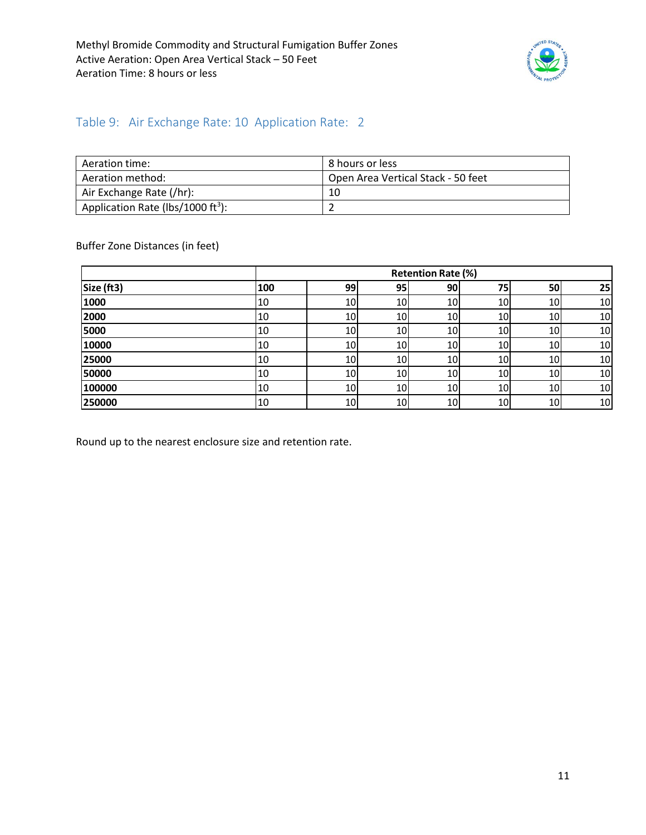

### <span id="page-10-0"></span>Table 9: Air Exchange Rate: 10 Application Rate: 2

| Aeration time:                                | 8 hours or less                    |
|-----------------------------------------------|------------------------------------|
| Aeration method:                              | Open Area Vertical Stack - 50 feet |
| Air Exchange Rate (/hr):                      | 10                                 |
| Application Rate (lbs/1000 ft <sup>3</sup> ): |                                    |

Buffer Zone Distances (in feet)

|            |     |    |                 | <b>Retention Rate (%)</b> |    |                 |    |
|------------|-----|----|-----------------|---------------------------|----|-----------------|----|
| Size (ft3) | 100 | 99 | 95 <sub>1</sub> | 90                        | 75 | 50              | 25 |
| 1000       | 10  | 10 | 10              | 10                        | 10 | 10              | 10 |
| 2000       | 10  | 10 | 10              | 10                        | 10 | 10              | 10 |
| 5000       | 10  | 10 | 10              | 10                        | 10 | 10 <sup>1</sup> | 10 |
| 10000      | 10  | 10 | 10              | 10                        | 10 | 10              | 10 |
| 25000      | 10  | 10 | 10              | 10                        | 10 | 10              | 10 |
| 50000      | 10  | 10 | 10              | 10                        | 10 | 10              | 10 |
| 100000     | 10  | 10 | 10              | 10                        | 10 | 10 <sup>1</sup> | 10 |
| 250000     | 10  | 10 | 10              | 10                        | 10 | 10              | 10 |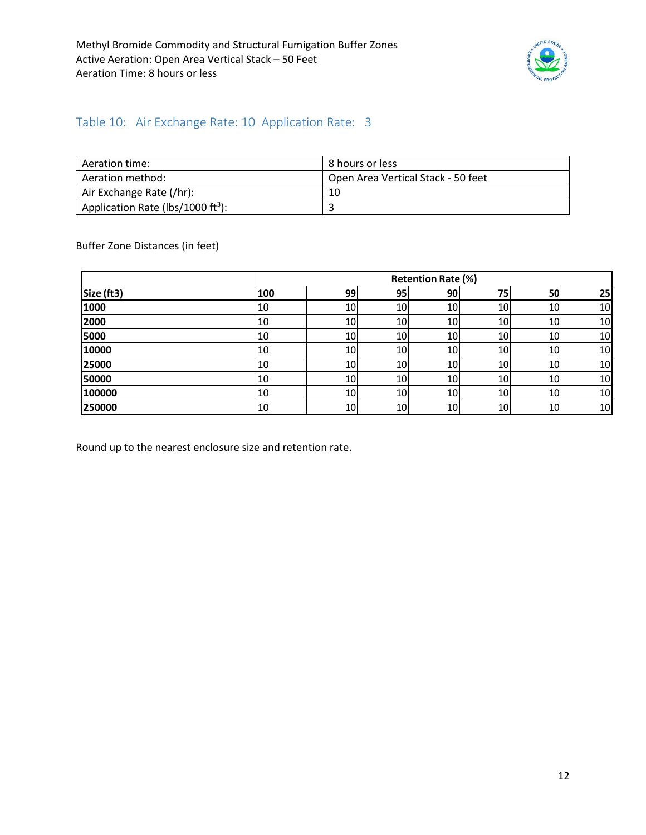

#### <span id="page-11-0"></span>Table 10: Air Exchange Rate: 10 Application Rate: 3

| Aeration time:                                | 8 hours or less                    |
|-----------------------------------------------|------------------------------------|
| Aeration method:                              | Open Area Vertical Stack - 50 feet |
| Air Exchange Rate (/hr):                      | 10                                 |
| Application Rate (lbs/1000 ft <sup>3</sup> ): |                                    |

Buffer Zone Distances (in feet)

|            |     |    |                 | <b>Retention Rate (%)</b> |    |    |    |
|------------|-----|----|-----------------|---------------------------|----|----|----|
| Size (ft3) | 100 | 99 | 95 <sub>1</sub> | 90                        | 75 | 50 | 25 |
| 1000       | 10  | 10 | 10              | 10                        | 10 | 10 | 10 |
| 2000       | 10  | 10 | 10              | 10                        | 10 | 10 | 10 |
| 5000       | 10  | 10 | 10              | 10                        | 10 | 10 | 10 |
| 10000      | 10  | 10 | 10              | 10                        | 10 | 10 | 10 |
| 25000      | 10  | 10 | 10              | 10                        | 10 | 10 | 10 |
| 50000      | 10  | 10 | 10              | 10                        | 10 | 10 | 10 |
| 100000     | 10  | 10 | 10              | 10                        | 10 | 10 | 10 |
| 250000     | 10  | 10 | 10              | 10                        | 10 | 10 | 10 |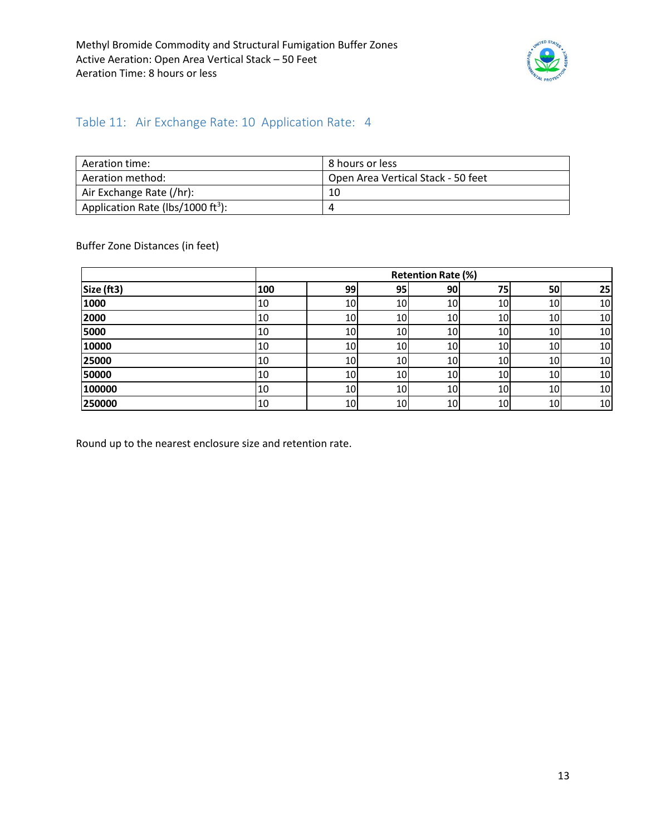

#### <span id="page-12-0"></span>Table 11: Air Exchange Rate: 10 Application Rate: 4

| Aeration time:                                | l 8 hours or less                  |
|-----------------------------------------------|------------------------------------|
| Aeration method:                              | Open Area Vertical Stack - 50 feet |
| Air Exchange Rate (/hr):                      | 10                                 |
| Application Rate (lbs/1000 ft <sup>3</sup> ): | 4                                  |

Buffer Zone Distances (in feet)

|            |     |    |    | <b>Retention Rate (%)</b> |    |                 |    |
|------------|-----|----|----|---------------------------|----|-----------------|----|
| Size (ft3) | 100 | 99 | 95 | 90                        | 75 | 50              | 25 |
| 1000       | 10  | 10 | 10 | 10                        | 10 | 10              | 10 |
| 2000       | 10  | 10 | 10 | 10                        | 10 | 10              | 10 |
| 5000       | 10  | 10 | 10 | 10                        | 10 | 10I             | 10 |
| 10000      | 10  | 10 | 10 | 10                        | 10 | 10              | 10 |
| 25000      | 10  | 10 | 10 | 10                        | 10 | 10              | 10 |
| 50000      | 10  | 10 | 10 | 10                        | 10 | 10              | 10 |
| 100000     | 10  | 10 | 10 | 10                        | 10 | 10 <sup>1</sup> | 10 |
| 250000     | 10  | 10 | 10 | 10                        | 10 | 10              | 10 |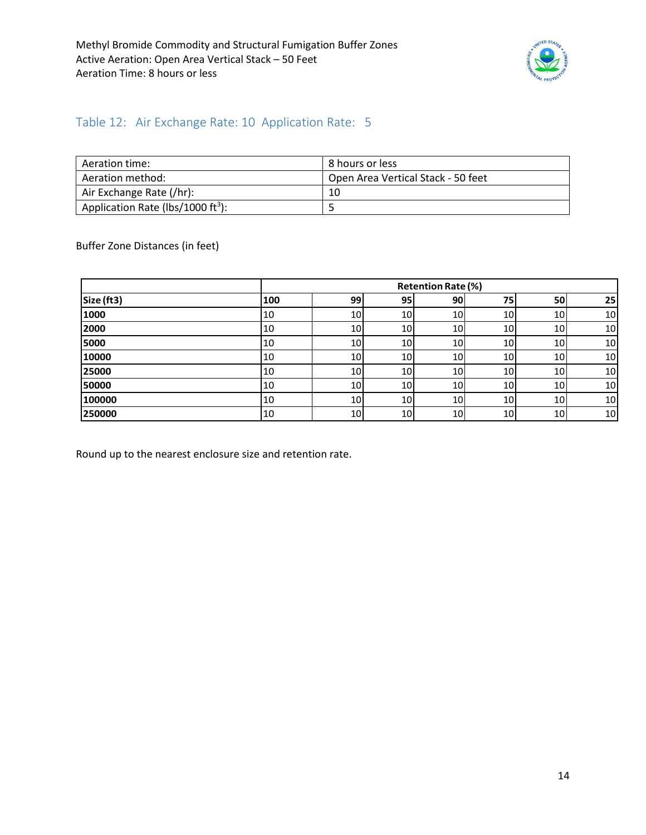

#### <span id="page-13-0"></span>Table 12: Air Exchange Rate: 10 Application Rate: 5

| Aeration time:                                | l 8 hours or less                  |
|-----------------------------------------------|------------------------------------|
| Aeration method:                              | Open Area Vertical Stack - 50 feet |
| Air Exchange Rate (/hr):                      | 10                                 |
| Application Rate (lbs/1000 ft <sup>3</sup> ): |                                    |

Buffer Zone Distances (in feet)

|            |     |           |                 | <b>Retention Rate (%)</b> |    |                 |    |
|------------|-----|-----------|-----------------|---------------------------|----|-----------------|----|
| Size (ft3) | 100 | 99        | 95 <sub>1</sub> | 90                        | 75 | 50              | 25 |
| 1000       | 10  | 10        | 10 <sup> </sup> | 10                        | 10 | <b>10</b>       | 10 |
| 2000       | 10  | 10        | 10 <sup>1</sup> | 10                        | 10 | 10 <sup>1</sup> | 10 |
| 5000       | 10  | <b>10</b> | 10 <sup>1</sup> | 10 <sub>l</sub>           | 10 | 10 <sup>1</sup> | 10 |
| 10000      | 10  | 10        | 10 <sup>1</sup> | 10                        | 10 | 10 <sup>1</sup> | 10 |
| 25000      | 10  | 10        | 10 <sub>l</sub> | 10                        | 10 | 10 <sup>1</sup> | 10 |
| 50000      | 10  | <b>10</b> | 10              | 10                        | 10 | 10 <sup>1</sup> | 10 |
| 100000     | 10  | 10        | 10              | 10 <sub>l</sub>           | 10 | 10 <sup>1</sup> | 10 |
| 250000     | 10  | 10        | 10 <sup>1</sup> | 10                        | 10 | <b>10</b>       | 10 |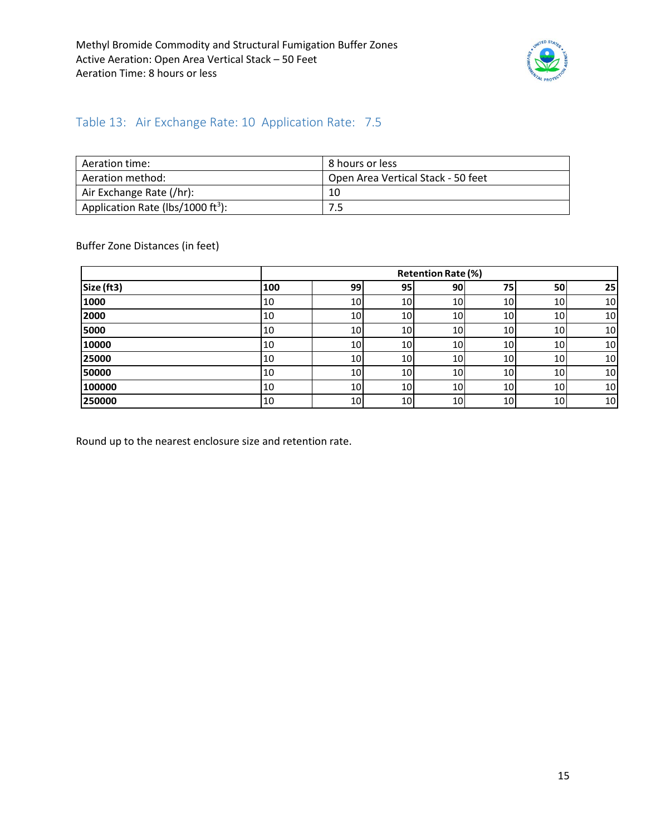

### <span id="page-14-0"></span>Table 13: Air Exchange Rate: 10 Application Rate: 7.5

| Aeration time:                                | 8 hours or less                    |
|-----------------------------------------------|------------------------------------|
| Aeration method:                              | Open Area Vertical Stack - 50 feet |
| Air Exchange Rate (/hr):                      | 10                                 |
| Application Rate (lbs/1000 ft <sup>3</sup> ): | 7.5                                |

Buffer Zone Distances (in feet)

|            |     |                 |                 | <b>Retention Rate (%)</b> |                 |    |    |
|------------|-----|-----------------|-----------------|---------------------------|-----------------|----|----|
| Size (ft3) | 100 | 99              | 95              | 90 <sub>l</sub>           | 75              | 50 | 25 |
| 1000       | 10  | 10              | 10              | 10 <sup>1</sup>           | 10 <sup>1</sup> | 10 | 10 |
| 2000       | 10  | 10 <sub>l</sub> | 10 <sub>1</sub> | 10 <sup>1</sup>           | <b>10</b>       | 10 | 10 |
| 5000       | 10  | 10              | 10              | 10                        | 10              | 10 | 10 |
| 10000      | 10  | 10              | 10              | 10                        | 10              | 10 | 10 |
| 25000      | 10  | 10              | 10              | 10 <sup>1</sup>           | <b>10</b>       | 10 | 10 |
| 50000      | 10  | 10              | 10              | 10 <sup>1</sup>           | 10              | 10 | 10 |
| 100000     | 10  | 10 <sub>l</sub> | 10              | 10 <sup>1</sup>           | 10 <sub>l</sub> | 10 | 10 |
| 250000     | 10  | 10              | 10              | 10 <sup>1</sup>           | 10              | 10 | 10 |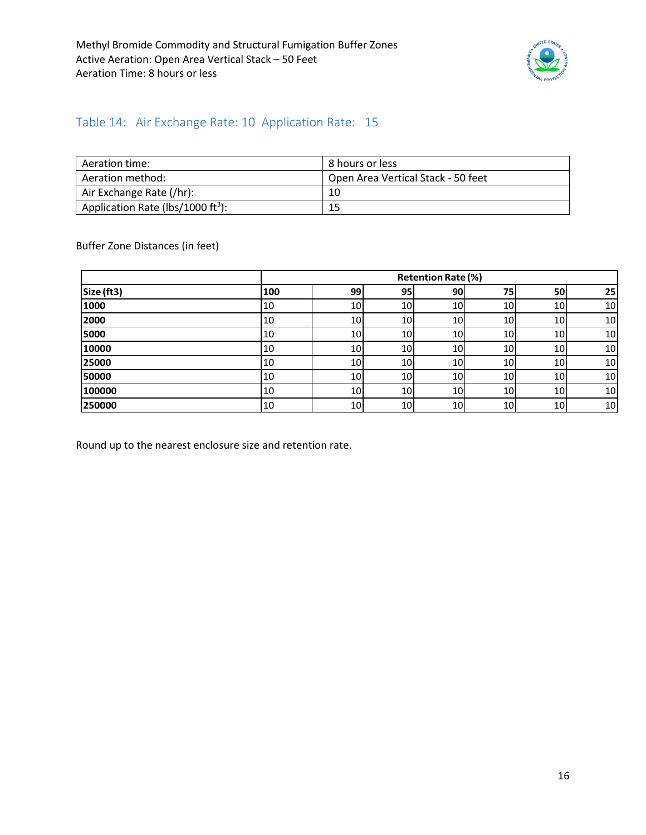

### <span id="page-15-0"></span>Table 14: Air Exchange Rate: 10 Application Rate: 15

| Aeration time:                                | 8 hours or less                    |
|-----------------------------------------------|------------------------------------|
| Aeration method:                              | Open Area Vertical Stack - 50 feet |
| Air Exchange Rate (/hr):                      | 10                                 |
| Application Rate (lbs/1000 ft <sup>3</sup> ): | 15                                 |

Buffer Zone Distances (in feet)

|            |     |    |                 | <b>Retention Rate (%)</b> |                 |                 |    |
|------------|-----|----|-----------------|---------------------------|-----------------|-----------------|----|
| Size (ft3) | 100 | 99 | 95              | 90                        | 75              | 50              | 25 |
| 1000       | 10  | 10 | 10 <sub>l</sub> | 10 <sub>l</sub>           | 10              | 10              | 10 |
| 2000       | 10  | 10 | 10              | 10 <sup>1</sup>           | 10 <sup>1</sup> | 10 <sub>l</sub> | 10 |
| 5000       | 10  | 10 | 10 <sub>1</sub> | 10 <sup>1</sup>           | 10              | 10 <sub>1</sub> | 10 |
| 10000      | 10  | 10 | 10 <sub>1</sub> | 10                        | 10 <sup>1</sup> | 10              | 10 |
| 25000      | 10  | 10 | 10              | 10                        | <b>10</b>       | 10              | 10 |
| 50000      | 10  | 10 | 10 <sub>1</sub> | 10 <sup>1</sup>           | <b>10</b>       | 10              | 10 |
| 100000     | 10  | 10 | 10 <sub>1</sub> | 10 <sup>1</sup>           | 10 <sup>1</sup> | 10              | 10 |
| 250000     | 10  | 10 | 10              | 10                        | <b>10</b>       | 10              | 10 |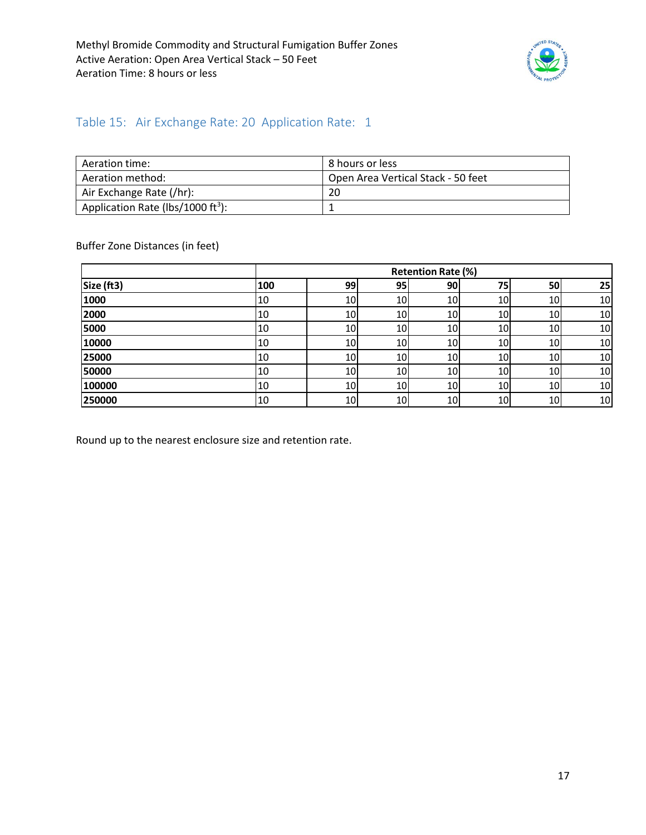

#### <span id="page-16-0"></span>Table 15: Air Exchange Rate: 20 Application Rate: 1

| Aeration time:                                | 8 hours or less                    |
|-----------------------------------------------|------------------------------------|
| Aeration method:                              | Open Area Vertical Stack - 50 feet |
| Air Exchange Rate (/hr):                      | 20                                 |
| Application Rate (lbs/1000 ft <sup>3</sup> ): |                                    |

Buffer Zone Distances (in feet)

|            |     |    |    | <b>Retention Rate (%)</b> |    |                 |    |
|------------|-----|----|----|---------------------------|----|-----------------|----|
| Size (ft3) | 100 | 99 | 95 | 90                        | 75 | 50              | 25 |
| 1000       | 10  | 10 | 10 | 10                        | 10 | 10              | 10 |
| 2000       | 10  | 10 | 10 | 10                        | 10 | 10I             | 10 |
| 5000       | 10  | 10 | 10 | 10                        | 10 | 10I             | 10 |
| 10000      | 10  | 10 | 10 | 10                        | 10 | 10              | 10 |
| 25000      | 10  | 10 | 10 | 10                        | 10 | 10 <sup>1</sup> | 10 |
| 50000      | 10  | 10 | 10 | 10                        | 10 | 10              | 10 |
| 100000     | 10  | 10 | 10 | 10                        | 10 | 10              | 10 |
| 250000     | 10  | 10 | 10 | 10                        | 10 | 10              | 10 |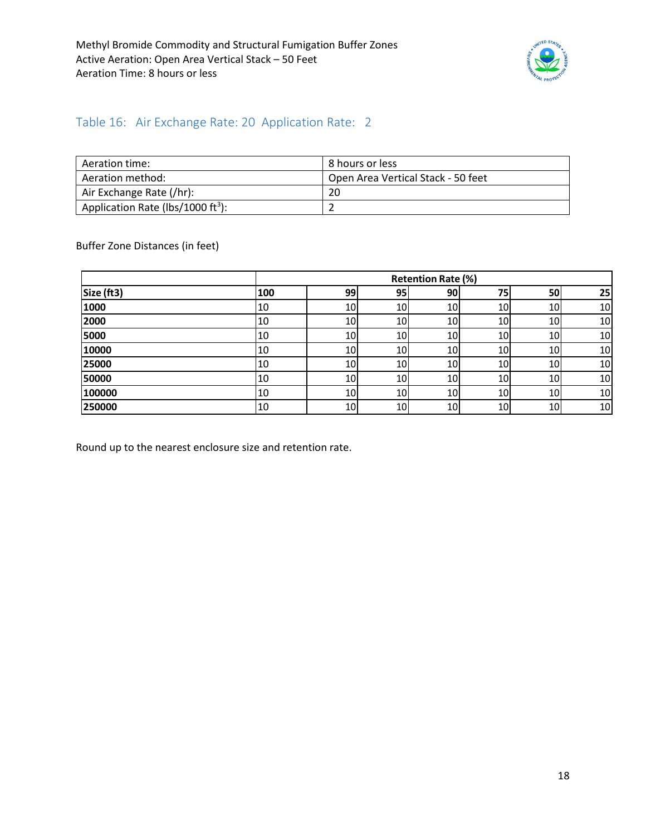

#### <span id="page-17-0"></span>Table 16: Air Exchange Rate: 20 Application Rate: 2

| Aeration time:                                | 8 hours or less                    |
|-----------------------------------------------|------------------------------------|
| Aeration method:                              | Open Area Vertical Stack - 50 feet |
| Air Exchange Rate (/hr):                      | 20                                 |
| Application Rate (lbs/1000 ft <sup>3</sup> ): |                                    |

Buffer Zone Distances (in feet)

|            |     |    |    | <b>Retention Rate (%)</b> |                 |                 |    |
|------------|-----|----|----|---------------------------|-----------------|-----------------|----|
| Size (ft3) | 100 | 99 | 95 | 90                        | 75              | 50              | 25 |
| 1000       | 10  | 10 | 10 | 10                        | 10              | 10              | 10 |
| 2000       | 10  | 10 | 10 | 10                        | 10              | 10 <sup>1</sup> | 10 |
| 5000       | 10  | 10 | 10 | 10                        | 10              | 10              | 10 |
| 10000      | 10  | 10 | 10 | 10                        | 10              | 10              | 10 |
| 25000      | 10  | 10 | 10 | 10                        | 10 <sub>l</sub> | 10              | 10 |
| 50000      | 10  | 10 | 10 | 10                        | 10 <sub>l</sub> | 10              | 10 |
| 100000     | 10  | 10 | 10 | 10                        | 10              | 10              | 10 |
| 250000     | 10  | 10 | 10 | 10                        | 10              | 10              | 10 |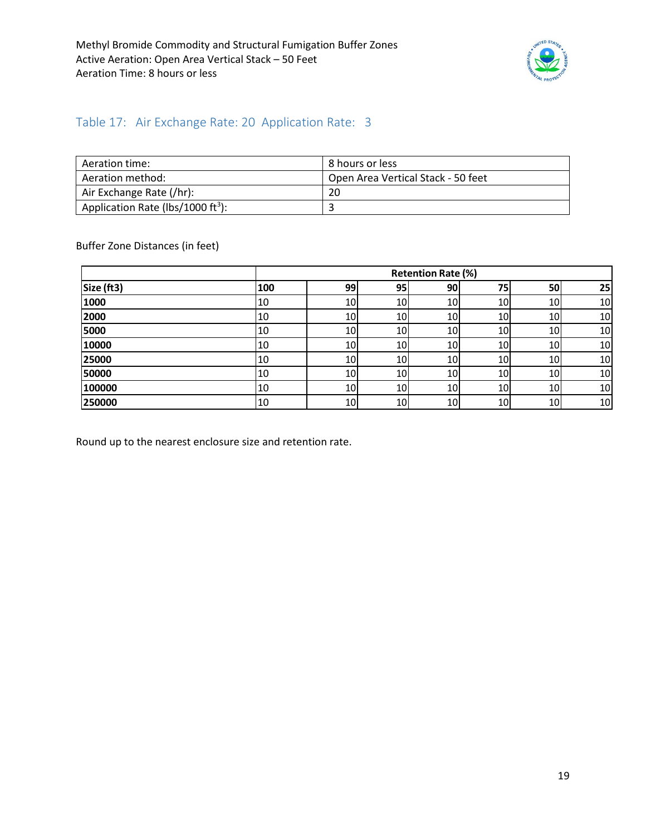

#### <span id="page-18-0"></span>Table 17: Air Exchange Rate: 20 Application Rate: 3

| Aeration time:                                | 8 hours or less                    |
|-----------------------------------------------|------------------------------------|
| Aeration method:                              | Open Area Vertical Stack - 50 feet |
| Air Exchange Rate (/hr):                      | 20                                 |
| Application Rate (lbs/1000 ft <sup>3</sup> ): |                                    |

Buffer Zone Distances (in feet)

|            |     |    |                 | <b>Retention Rate (%)</b> |    |                 |    |
|------------|-----|----|-----------------|---------------------------|----|-----------------|----|
| Size (ft3) | 100 | 99 | 95 <sub>1</sub> | 90                        | 75 | 50              | 25 |
| 1000       | 10  | 10 | 10              | 10                        | 10 | 10              | 10 |
| 2000       | 10  | 10 | <b>10</b>       | 10                        | 10 | 10              | 10 |
| 5000       | 10  | 10 | 10              | 10                        | 10 | 10              | 10 |
| 10000      | 10  | 10 | 10              | 10                        | 10 | 10              | 10 |
| 25000      | 10  | 10 | 10              | 10                        | 10 | 10              | 10 |
| 50000      | 10  | 10 | 10              | 10                        | 10 | 10 <sup> </sup> | 10 |
| 100000     | 10  | 10 | 10              | 10                        | 10 | 10 <sup>1</sup> | 10 |
| 250000     | 10  | 10 | 10              | 10                        | 10 | 10              | 10 |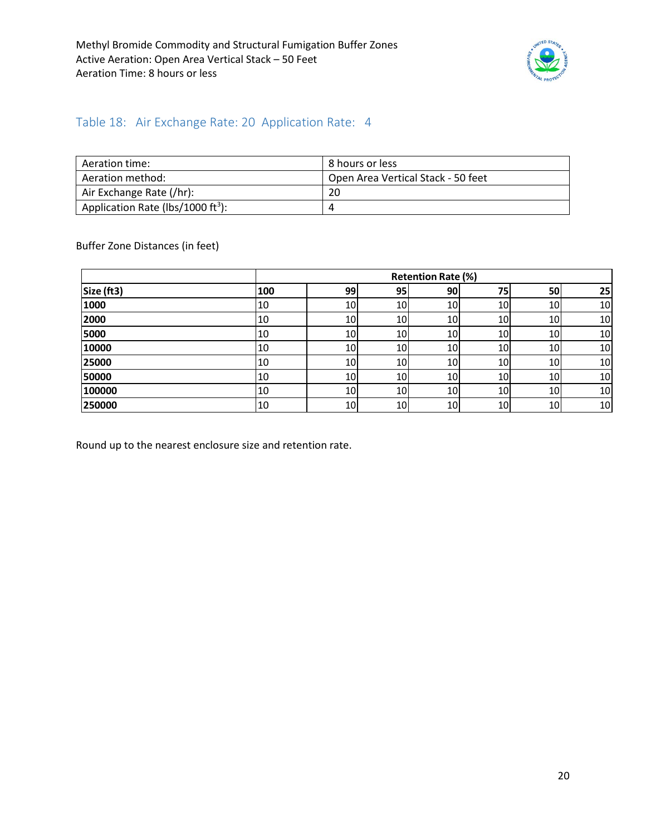

#### <span id="page-19-0"></span>Table 18: Air Exchange Rate: 20 Application Rate: 4

| Aeration time:                                | 8 hours or less                    |
|-----------------------------------------------|------------------------------------|
| Aeration method:                              | Open Area Vertical Stack - 50 feet |
| Air Exchange Rate (/hr):                      | 20                                 |
| Application Rate (lbs/1000 ft <sup>3</sup> ): | 4                                  |

Buffer Zone Distances (in feet)

|            |     |    |    | <b>Retention Rate (%)</b> |    |                 |    |
|------------|-----|----|----|---------------------------|----|-----------------|----|
| Size (ft3) | 100 | 99 | 95 | 90                        | 75 | 50              | 25 |
| 1000       | 10  | 10 | 10 | 10                        | 10 | 10              | 10 |
| 2000       | 10  | 10 | 10 | 10                        | 10 | 10 <sup>1</sup> | 10 |
| 5000       | 10  | 10 | 10 | 10                        | 10 | 10I             | 10 |
| 10000      | 10  | 10 | 10 | 10                        | 10 | 10              | 10 |
| 25000      | 10  | 10 | 10 | 10                        | 10 | 10 <sup>1</sup> | 10 |
| 50000      | 10  | 10 | 10 | 10                        | 10 | 10 <sup>1</sup> | 10 |
| 100000     | 10  | 10 | 10 | 10                        | 10 | 10 <sup>1</sup> | 10 |
| 250000     | 10  | 10 | 10 | 10                        | 10 | 10              | 10 |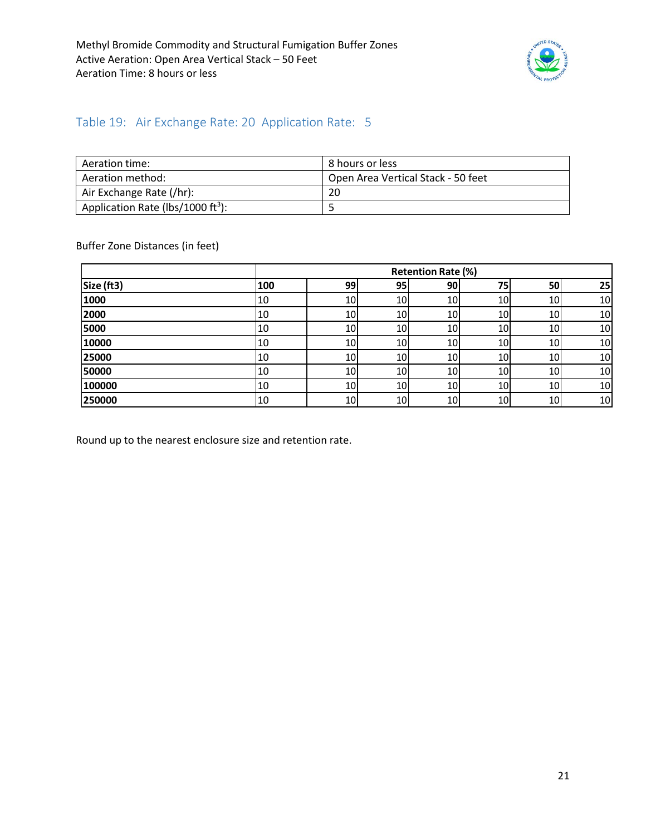

#### <span id="page-20-0"></span>Table 19: Air Exchange Rate: 20 Application Rate: 5

| Aeration time:                                | 8 hours or less                    |
|-----------------------------------------------|------------------------------------|
| Aeration method:                              | Open Area Vertical Stack - 50 feet |
| Air Exchange Rate (/hr):                      | 20                                 |
| Application Rate (lbs/1000 ft <sup>3</sup> ): |                                    |

Buffer Zone Distances (in feet)

|            |     |    |    | <b>Retention Rate (%)</b> |    |                 |    |
|------------|-----|----|----|---------------------------|----|-----------------|----|
| Size (ft3) | 100 | 99 | 95 | 90                        | 75 | 50              | 25 |
| 1000       | 10  | 10 | 10 | 10                        | 10 | 10              | 10 |
| 2000       | 10  | 10 | 10 | 10                        | 10 | 10I             | 10 |
| 5000       | 10  | 10 | 10 | 10                        | 10 | 10I             | 10 |
| 10000      | 10  | 10 | 10 | 10                        | 10 | 10              | 10 |
| 25000      | 10  | 10 | 10 | 10                        | 10 | 10 <sup>1</sup> | 10 |
| 50000      | 10  | 10 | 10 | 10                        | 10 | 10              | 10 |
| 100000     | 10  | 10 | 10 | 10                        | 10 | 10              | 10 |
| 250000     | 10  | 10 | 10 | 10                        | 10 | 10              | 10 |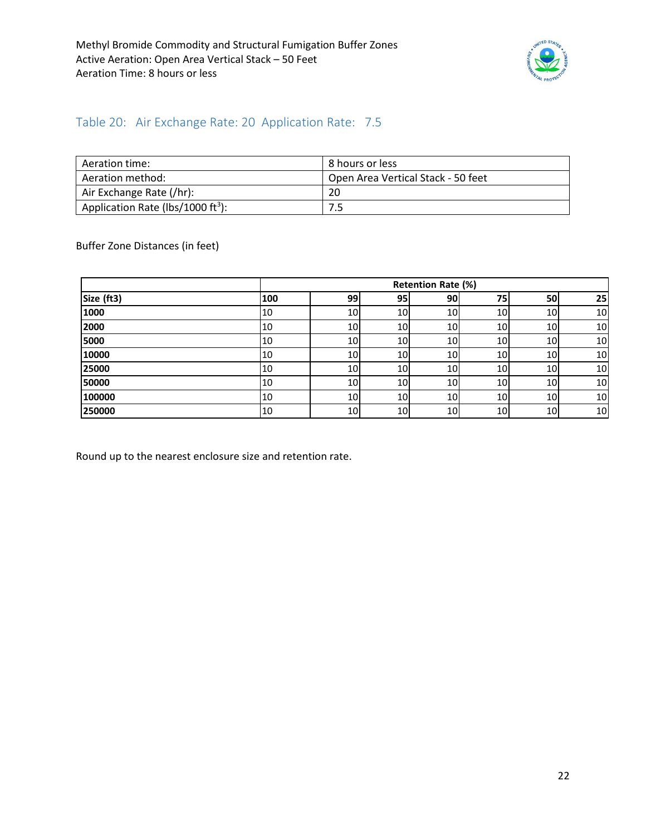

#### <span id="page-21-0"></span>Table 20: Air Exchange Rate: 20 Application Rate: 7.5

| Aeration time:                                | l 8 hours or less                  |
|-----------------------------------------------|------------------------------------|
| Aeration method:                              | Open Area Vertical Stack - 50 feet |
| Air Exchange Rate (/hr):                      | 20                                 |
| Application Rate (lbs/1000 ft <sup>3</sup> ): |                                    |

Buffer Zone Distances (in feet)

|            |     |                 |                 | <b>Retention Rate (%)</b> |                 |                 |    |
|------------|-----|-----------------|-----------------|---------------------------|-----------------|-----------------|----|
| Size (ft3) | 100 | 99              | 95              | 90                        | 75              | 50              | 25 |
| 1000       | 10  | 10              | 10              | 10 <sub>l</sub>           | 10 <sup>1</sup> | 10 <sub>l</sub> | 10 |
| 2000       | 10  | 10              | 10              | 10                        | 10 <sup>1</sup> | 10I             | 10 |
| 5000       | 10  | 10 <sup>1</sup> | 10 <sup>1</sup> | 10 <sup>1</sup>           | 10              | 10 <sup>1</sup> | 10 |
| 10000      | 10  | 10 <sup>1</sup> | 10 <sup>1</sup> | 10                        | 10              | 10              | 10 |
| 25000      | 10  | 10              | 10              | 10 <sup>1</sup>           | <b>10</b>       | <b>10</b>       | 10 |
| 50000      | 10  | 10 <sub>l</sub> | 10 <sup>1</sup> | 10                        | <b>10</b>       | <b>10</b>       | 10 |
| 100000     | 10  | 10              | 10 <sup>1</sup> | 10                        | 10              | 10              | 10 |
| 250000     | 10  | 10              | 10 <sup>1</sup> | 10 <sup>1</sup>           | 10 <sub>l</sub> | 10 <sup>1</sup> | 10 |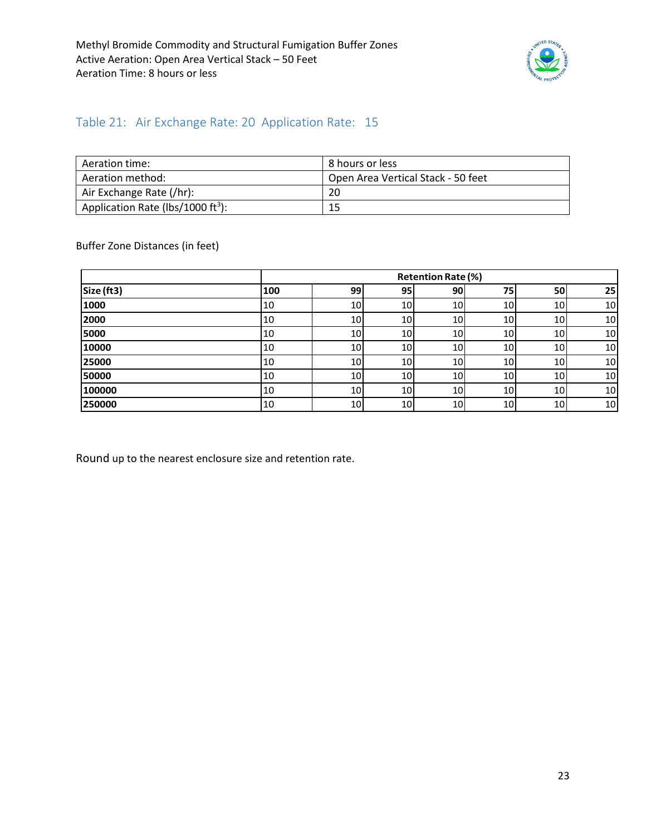

### <span id="page-22-0"></span>Table 21: Air Exchange Rate: 20 Application Rate: 15

| Aeration time:                                | l 8 hours or less                  |
|-----------------------------------------------|------------------------------------|
| Aeration method:                              | Open Area Vertical Stack - 50 feet |
| Air Exchange Rate (/hr):                      | 20                                 |
| Application Rate (lbs/1000 ft <sup>3</sup> ): | 15                                 |

Buffer Zone Distances (in feet)

|            |     |    |                 | <b>Retention Rate (%)</b> |                 |                 |    |
|------------|-----|----|-----------------|---------------------------|-----------------|-----------------|----|
| Size (ft3) | 100 | 99 | 95              | 90                        | 75              | 50              | 25 |
| 1000       | 10  | 10 | 10 <sub>1</sub> | 10 <sup>1</sup>           | 10 <sup>1</sup> | 10              | 10 |
| 2000       | 10  | 10 | 10              | 10                        | 10              | 10              | 10 |
| 5000       | 10  | 10 | 10              | 10 <sup>1</sup>           | 10 <sup>1</sup> | 10 <sub>1</sub> | 10 |
| 10000      | 10  | 10 | 10              | 10 <sup>1</sup>           | 10 <sup>1</sup> | 10              | 10 |
| 25000      | 10  | 10 | 10 <sub>1</sub> | 10                        | 10 <sup>1</sup> | 10              | 10 |
| 50000      | 10  | 10 | 10              | 10 <sup>1</sup>           | 10 <sup>1</sup> | 10              | 10 |
| 100000     | 10  | 10 | 10 <sub>1</sub> | 10                        | 10              | 10              | 10 |
| 250000     | 10  | 10 | 10 <sub>l</sub> | 10                        | 10              | 10              | 10 |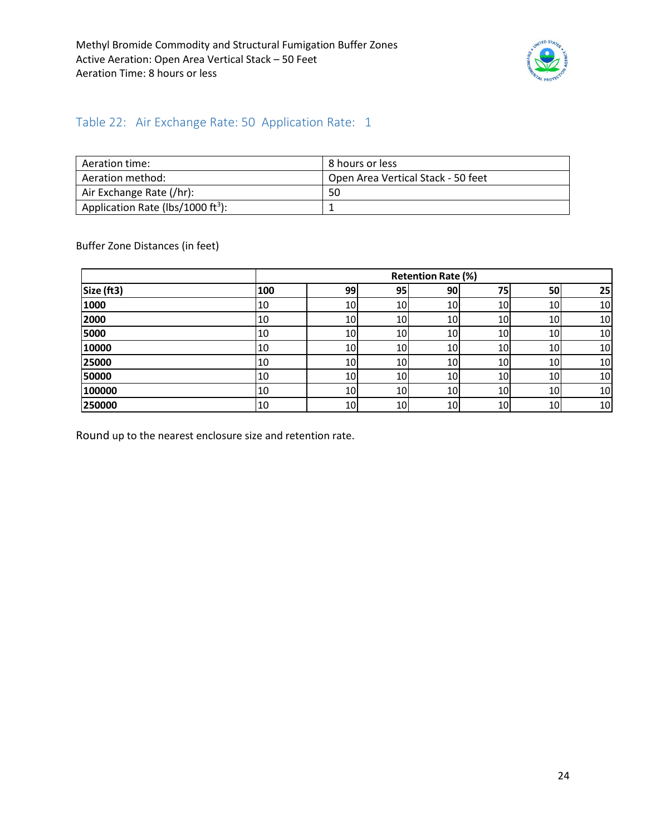

### <span id="page-23-0"></span>Table 22: Air Exchange Rate: 50 Application Rate: 1

| Aeration time:                                | 8 hours or less                    |
|-----------------------------------------------|------------------------------------|
| Aeration method:                              | Open Area Vertical Stack - 50 feet |
| Air Exchange Rate (/hr):                      | 50                                 |
| Application Rate (lbs/1000 ft <sup>3</sup> ): |                                    |

Buffer Zone Distances (in feet)

|            |     |    |     | <b>Retention Rate (%)</b> |                 |           |    |
|------------|-----|----|-----|---------------------------|-----------------|-----------|----|
| Size (ft3) | 100 | 99 | 95  | <b>90</b>                 | 75              | 50        | 25 |
| 1000       | 10  | 10 | 10  | 10                        | 10              | 10        | 10 |
| 2000       | 10  | 10 | 10  | 10                        | 10              | 10        | 10 |
| 5000       | 10  | 10 | 10  | 10                        | 10              | <b>10</b> | 10 |
| 10000      | 10  | 10 | 10  | 10                        | 10              | 10        | 10 |
| 25000      | 10  | 10 | 10  | 10                        | 10              | 10        | 10 |
| 50000      | 10  | 10 | 10I | 10                        | 10 <sub>1</sub> | <b>10</b> | 10 |
| 100000     | 10  | 10 | 10  | 10                        | 10              | 10        | 10 |
| 250000     | 10  | 10 | 10  | 10                        | 10              | 10        | 10 |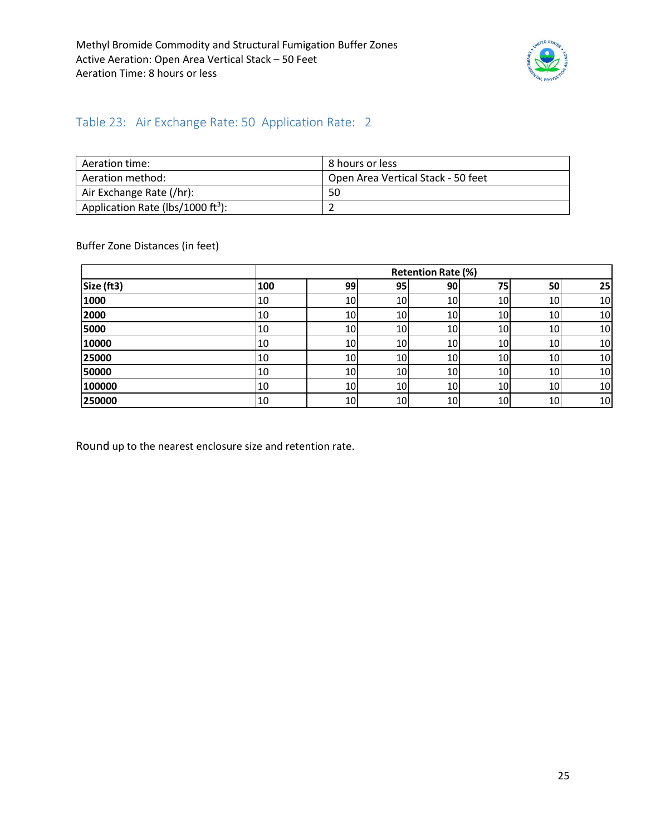

#### <span id="page-24-0"></span>Table 23: Air Exchange Rate: 50 Application Rate: 2

| Aeration time:                                | 8 hours or less                    |
|-----------------------------------------------|------------------------------------|
| Aeration method:                              | Open Area Vertical Stack - 50 feet |
| Air Exchange Rate (/hr):                      | 50                                 |
| Application Rate (lbs/1000 ft <sup>3</sup> ): |                                    |

Buffer Zone Distances (in feet)

|            |     |    |                 | <b>Retention Rate (%)</b> |    |                 |    |
|------------|-----|----|-----------------|---------------------------|----|-----------------|----|
| Size (ft3) | 100 | 99 | 95 <sub>1</sub> | 90                        | 75 | 50              | 25 |
| 1000       | 10  | 10 | 10              | 10                        | 10 | 10 <sup>1</sup> | 10 |
| 2000       | 10  | 10 | 10              | 10                        | 10 | 10              | 10 |
| 5000       | 10  | 10 | 10              | 10                        | 10 | 10 <sup>1</sup> | 10 |
| 10000      | 10  | 10 | 10              | 10                        | 10 | 10 <sup>1</sup> | 10 |
| 25000      | 10  | 10 | 10              | 10                        | 10 | 10              | 10 |
| 50000      | 10  | 10 | 10              | 10                        | 10 | 10 <sub>l</sub> | 10 |
| 100000     | 10  | 10 | 10              | 10                        | 10 | 10              | 10 |
| 250000     | 10  | 10 | 10              | 10                        | 10 | 10              | 10 |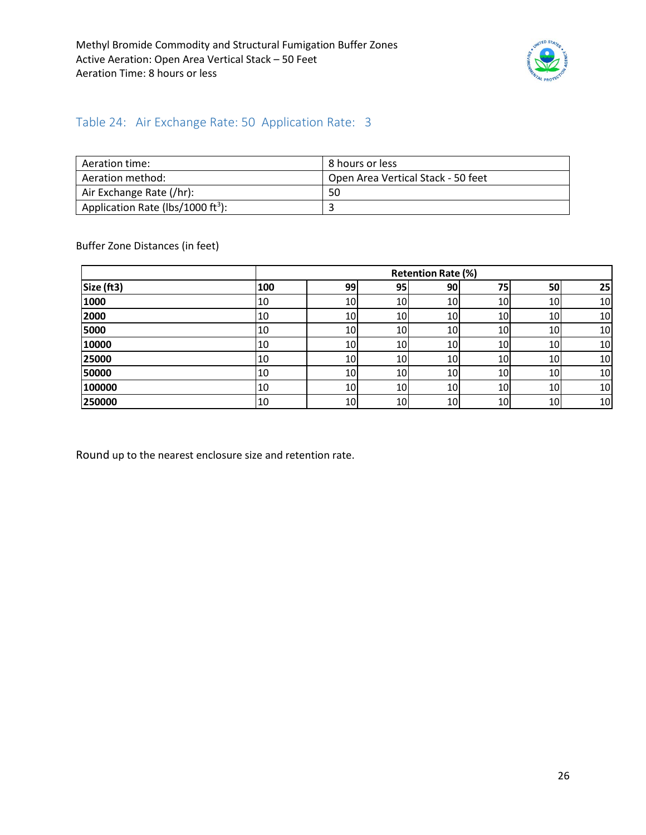

#### <span id="page-25-0"></span>Table 24: Air Exchange Rate: 50 Application Rate: 3

| Aeration time:                                | 8 hours or less                    |
|-----------------------------------------------|------------------------------------|
| Aeration method:                              | Open Area Vertical Stack - 50 feet |
| Air Exchange Rate (/hr):                      | 50                                 |
| Application Rate (lbs/1000 ft <sup>3</sup> ): |                                    |

Buffer Zone Distances (in feet)

|            |     | <b>Retention Rate (%)</b> |                 |    |                 |                 |    |  |  |
|------------|-----|---------------------------|-----------------|----|-----------------|-----------------|----|--|--|
| Size (ft3) | 100 | 99                        | 95 <sub>1</sub> | 90 | 75              | 50              | 25 |  |  |
| 1000       | 10  | 10                        | 10              | 10 | 10              | 10              | 10 |  |  |
| 2000       | 10  | 10                        | 10              | 10 | 10              | 10              | 10 |  |  |
| 5000       | 10  | 10                        | 10              | 10 | 10              | 10              | 10 |  |  |
| 10000      | 10  | 10                        | 10              | 10 | 10              | 10 <sup>1</sup> | 10 |  |  |
| 25000      | 10  | 10                        | 10              | 10 | 10              | 10              | 10 |  |  |
| 50000      | 10  | 10                        | 10              | 10 | 10              | 10 <sup>1</sup> | 10 |  |  |
| 100000     | 10  | 10                        | 10              | 10 | 10 <sub>l</sub> | 10 <sup>1</sup> | 10 |  |  |
| 250000     | 10  | 10                        | 10              | 10 | 10              | 10              | 10 |  |  |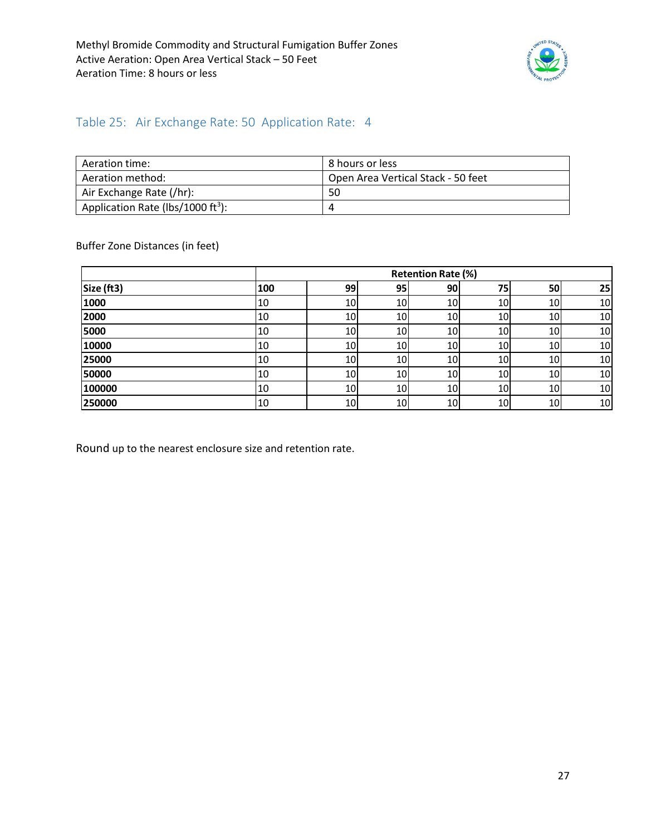

#### <span id="page-26-0"></span>Table 25: Air Exchange Rate: 50 Application Rate: 4

| Aeration time:                                | 8 hours or less                    |
|-----------------------------------------------|------------------------------------|
| Aeration method:                              | Open Area Vertical Stack - 50 feet |
| Air Exchange Rate (/hr):                      | 50                                 |
| Application Rate (lbs/1000 ft <sup>3</sup> ): | 4                                  |

Buffer Zone Distances (in feet)

|            |     |    |    | <b>Retention Rate (%)</b> |    |                 |    |
|------------|-----|----|----|---------------------------|----|-----------------|----|
| Size (ft3) | 100 | 99 | 95 | 90                        | 75 | 50              | 25 |
| 1000       | 10  | 10 | 10 | 10                        | 10 | 10              | 10 |
| 2000       | 10  | 10 | 10 | 10                        | 10 | 10 <sup>1</sup> | 10 |
| 5000       | 10  | 10 | 10 | 10                        | 10 | 10 <sup>1</sup> | 10 |
| 10000      | 10  | 10 | 10 | 10                        | 10 | 10              | 10 |
| 25000      | 10  | 10 | 10 | 10                        | 10 | 10 <sup>1</sup> | 10 |
| 50000      | 10  | 10 | 10 | 10                        | 10 | 10 <sup>1</sup> | 10 |
| 100000     | 10  | 10 | 10 | 10                        | 10 | 10 <sup>1</sup> | 10 |
| 250000     | 10  | 10 | 10 | 10                        | 10 | 10              | 10 |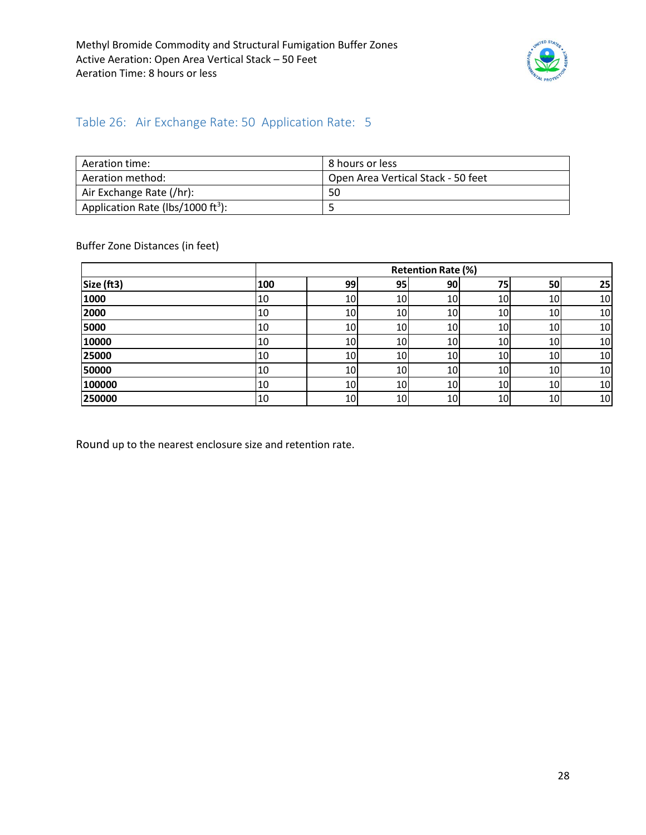

#### <span id="page-27-0"></span>Table 26: Air Exchange Rate: 50 Application Rate: 5

| Aeration time:                                | 8 hours or less                    |
|-----------------------------------------------|------------------------------------|
| Aeration method:                              | Open Area Vertical Stack - 50 feet |
| Air Exchange Rate (/hr):                      | 50                                 |
| Application Rate (lbs/1000 ft <sup>3</sup> ): |                                    |

Buffer Zone Distances (in feet)

|            |     |    |                 | <b>Retention Rate (%)</b> |    |                 |    |
|------------|-----|----|-----------------|---------------------------|----|-----------------|----|
| Size (ft3) | 100 | 99 | 95 <sub>1</sub> | 90                        | 75 | 50              | 25 |
| 1000       | 10  | 10 | 10              | 10                        | 10 | 10              | 10 |
| 2000       | 10  | 10 | 10              | 10                        | 10 | 10              | 10 |
| 5000       | 10  | 10 | 10              | 10                        | 10 | 10 <sup>1</sup> | 10 |
| 10000      | 10  | 10 | 10              | 10                        | 10 | 10              | 10 |
| 25000      | 10  | 10 | 10              | 10                        | 10 | 10              | 10 |
| 50000      | 10  | 10 | 10              | 10                        | 10 | 10              | 10 |
| 100000     | 10  | 10 | 10              | 10                        | 10 | 10              | 10 |
| 250000     | 10  | 10 | 10              | 10                        | 10 | 10              | 10 |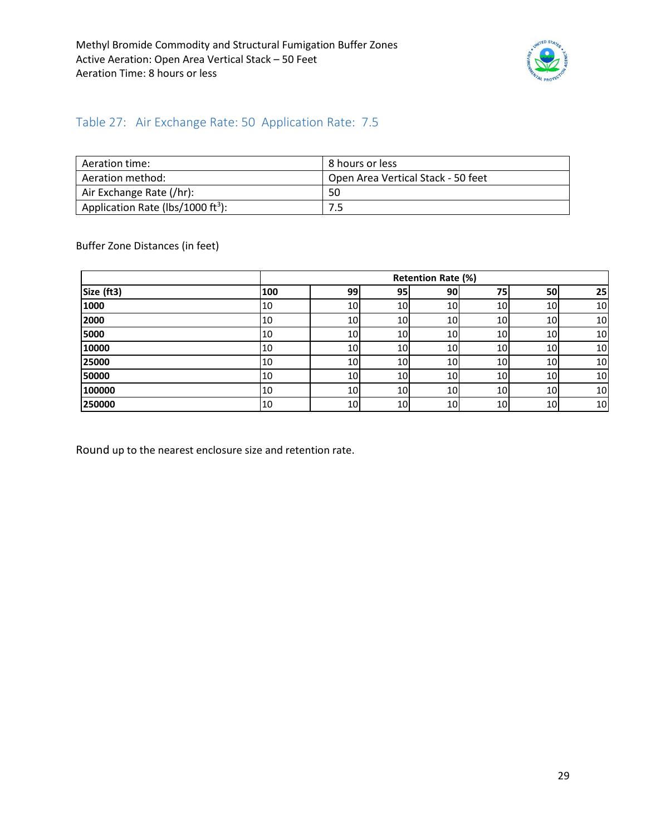

### <span id="page-28-0"></span>Table 27: Air Exchange Rate: 50 Application Rate: 7.5

| Aeration time:                                | 8 hours or less                    |
|-----------------------------------------------|------------------------------------|
| Aeration method:                              | Open Area Vertical Stack - 50 feet |
| Air Exchange Rate (/hr):                      | 50                                 |
| Application Rate (lbs/1000 ft <sup>3</sup> ): | 7.5                                |

Buffer Zone Distances (in feet)

|            |     |                 |                 | Retention Rate (%) |                 |                 |    |
|------------|-----|-----------------|-----------------|--------------------|-----------------|-----------------|----|
| Size (ft3) | 100 | 99              | 95              | 90                 | 75              | 50              | 25 |
| 1000       | 10  | 10 <sup>1</sup> | 10              | 10                 | 10              | 10 <sup>1</sup> | 10 |
| 2000       | 10  | 10 <sub>l</sub> | 10 <sup>1</sup> | 10                 | 10              | 10 <sup>1</sup> | 10 |
| 5000       | 10  | 10              | 10              | 10                 | 10              | 10 <sup>1</sup> | 10 |
| 10000      | 10  | 10              | 10              | 10                 | 10 <sup>1</sup> | 10 <sup>1</sup> | 10 |
| 25000      | 10  | 10 <sub>l</sub> | 10              | 10 <sup>1</sup>    | 10              | 10 <sup>1</sup> | 10 |
| 50000      | 10  | 10              | 10              | 10                 | 10              | 10              | 10 |
| 100000     | 10  | 10 <sup>1</sup> | 10 <sup>1</sup> | 10                 | 10 <sub>l</sub> | 10 <sup>1</sup> | 10 |
| 250000     | 10  | 10              | 10 <sup>1</sup> | 10                 | 10 <sup>1</sup> | 10              | 10 |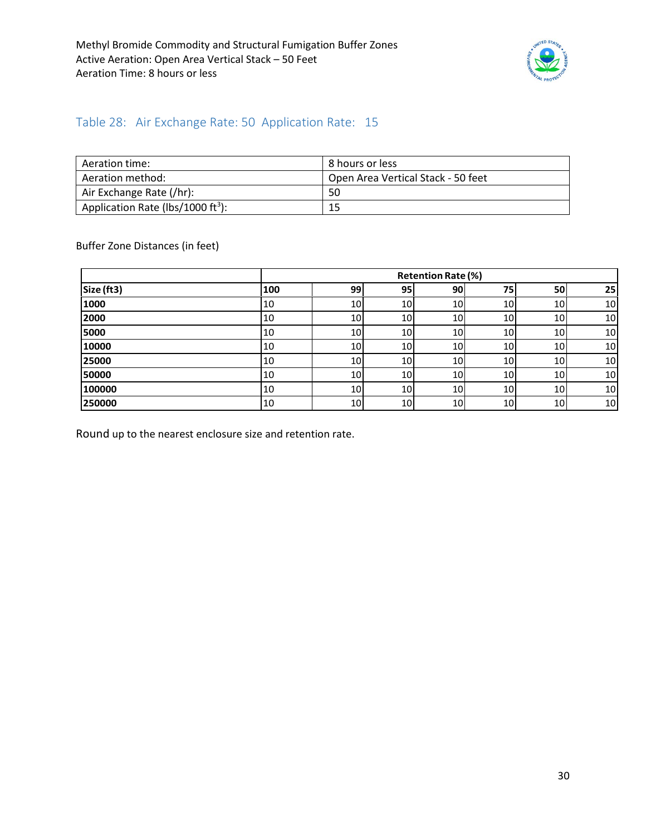

#### <span id="page-29-0"></span>Table 28: Air Exchange Rate: 50 Application Rate: 15

| Aeration time:                                | 8 hours or less                    |
|-----------------------------------------------|------------------------------------|
| Aeration method:                              | Open Area Vertical Stack - 50 feet |
| Air Exchange Rate (/hr):                      | 50                                 |
| Application Rate (lbs/1000 ft <sup>3</sup> ): | 15                                 |

Buffer Zone Distances (in feet)

|            |     |                 |                 | <b>Retention Rate (%)</b> |                 |     |    |
|------------|-----|-----------------|-----------------|---------------------------|-----------------|-----|----|
| Size (ft3) | 100 | 99              | 95              | 90                        | 75              | 50  | 25 |
| 1000       | 10  | 10              | 10 <sub>l</sub> | 10 <sup>1</sup>           | 10 <sup>1</sup> | 10  | 10 |
| 2000       | 10  | 10              | 10              | 10 <sup>1</sup>           | 10              | 10  | 10 |
| 5000       | 10  | 10              | 10              | 10 <sub>l</sub>           | 10              | 10  | 10 |
| 10000      | 10  | 10              | 10              | 10                        | 10              | 10  | 10 |
| 25000      | 10  | 10              | 10 <sub>l</sub> | 10                        | 10              | 10  | 10 |
| 50000      | 10  | 10 <sub>l</sub> | 10              | 10                        | 10              | 10  | 10 |
| 100000     | 10  | 10 <sup>1</sup> | 10 <sub>l</sub> | 10 <sub>l</sub>           | 10              | 10I | 10 |
| 250000     | 10  | 10              | 10 <sub>l</sub> | 10 <sub>l</sub>           | 10              | 10  | 10 |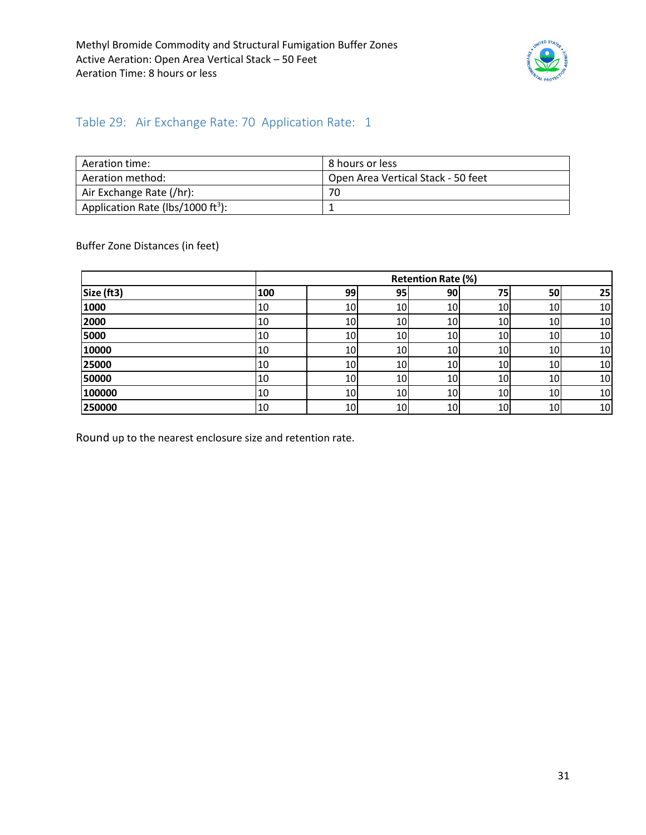

#### <span id="page-30-0"></span>Table 29: Air Exchange Rate: 70 Application Rate: 1

| Aeration time:                                | l 8 hours or less                  |
|-----------------------------------------------|------------------------------------|
| Aeration method:                              | Open Area Vertical Stack - 50 feet |
| Air Exchange Rate (/hr):                      | 70                                 |
| Application Rate (lbs/1000 ft <sup>3</sup> ): |                                    |

Buffer Zone Distances (in feet)

|            |     |           |    | <b>Retention Rate (%)</b> |                 |           |    |
|------------|-----|-----------|----|---------------------------|-----------------|-----------|----|
| Size (ft3) | 100 | 99        | 95 | 90                        | 75              | 50        | 25 |
| 1000       | 10  | 10        | 10 | 10                        | 10              | 10        | 10 |
| 2000       | 10  | 10        | 10 | 10                        | 10              | <b>10</b> | 10 |
| 5000       | 10  | 10        | 10 | 10                        | 10              | 10        | 10 |
| 10000      | 10  | 10        | 10 | 10                        | 10              | 10        | 10 |
| 25000      | 10  | 10        | 10 | 10                        | 10              | 10        | 10 |
| 50000      | 10  | <b>10</b> | 10 | 10                        | 10 <sub>l</sub> | <b>10</b> | 10 |
| 100000     | 10  | 10        | 10 | 10                        | 10 <sub>l</sub> | 10        | 10 |
| 250000     | 10  | 10        | 10 | 10                        | 10              | <b>10</b> | 10 |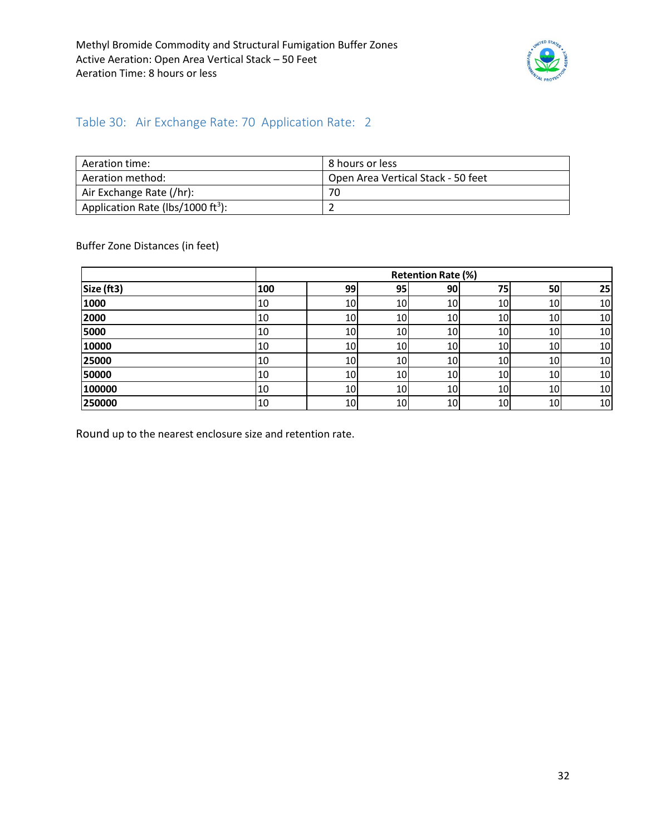

#### <span id="page-31-0"></span>Table 30: Air Exchange Rate: 70 Application Rate: 2

| Aeration time:                                | 8 hours or less                    |
|-----------------------------------------------|------------------------------------|
| Aeration method:                              | Open Area Vertical Stack - 50 feet |
| Air Exchange Rate (/hr):                      | 70                                 |
| Application Rate (lbs/1000 ft <sup>3</sup> ): |                                    |

Buffer Zone Distances (in feet)

|            |     |    |                 | <b>Retention Rate (%)</b> |    |                 |    |
|------------|-----|----|-----------------|---------------------------|----|-----------------|----|
| Size (ft3) | 100 | 99 | 95 <sub>1</sub> | 90                        | 75 | 50              | 25 |
| 1000       | 10  | 10 | 10              | 10                        | 10 | 10              | 10 |
| 2000       | 10  | 10 | 10              | 10                        | 10 | 10I             | 10 |
| 5000       | 10  | 10 | 10              | 10                        | 10 | 10              | 10 |
| 10000      | 10  | 10 | 10              | 10                        | 10 | 10              | 10 |
| 25000      | 10  | 10 | 10              | 10                        | 10 | 10I             | 10 |
| 50000      | 10  | 10 | 10              | 10                        | 10 | 10 <sup>1</sup> | 10 |
| 100000     | 10  | 10 | 10              | 10                        | 10 | 10              | 10 |
| 250000     | 10  | 10 | 10              | 10                        | 10 | 10              | 10 |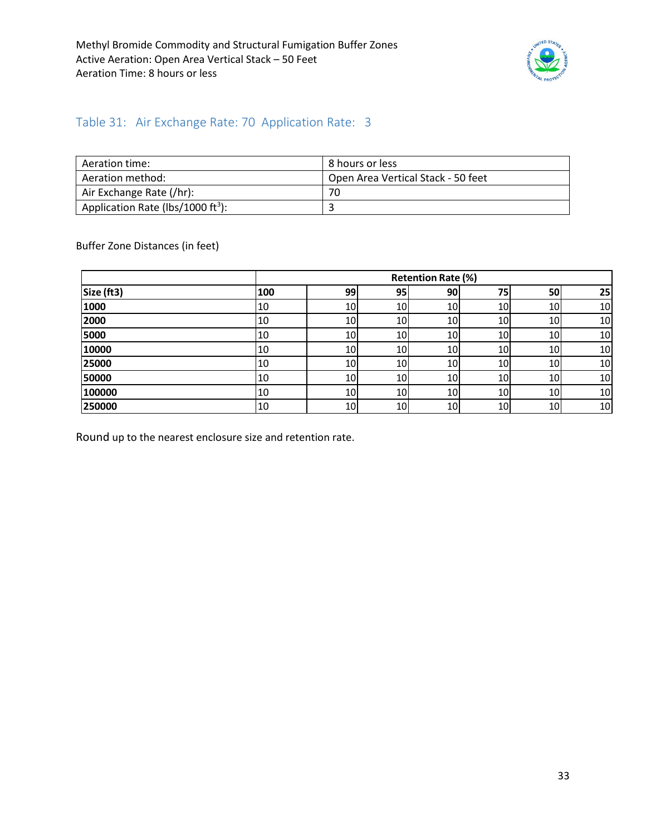

#### <span id="page-32-0"></span>Table 31: Air Exchange Rate: 70 Application Rate: 3

| Aeration time:                                | 8 hours or less                    |
|-----------------------------------------------|------------------------------------|
| Aeration method:                              | Open Area Vertical Stack - 50 feet |
| Air Exchange Rate (/hr):                      | 70                                 |
| Application Rate (lbs/1000 ft <sup>3</sup> ): |                                    |

Buffer Zone Distances (in feet)

|            |     |    |     | <b>Retention Rate (%)</b> |                 |           |    |
|------------|-----|----|-----|---------------------------|-----------------|-----------|----|
| Size (ft3) | 100 | 99 | 95, | <b>90</b>                 | 75              | 50        | 25 |
| 1000       | 10  | 10 | 10  | 10                        | 10              | 10        | 10 |
| 2000       | 10  | 10 | 10  | 10                        | 10              | 10        | 10 |
| 5000       | 10  | 10 | 10I | 10                        | 10 <sub>1</sub> | <b>10</b> | 10 |
| 10000      | 10  | 10 | 10  | 10                        | 10              | 10        | 10 |
| 25000      | 10  | 10 | 10  | 10                        | 10              | 10        | 10 |
| 50000      | 10  | 10 | 10  | 10                        | 10              | 10        | 10 |
| 100000     | 10  | 10 | 10  | 10                        | 10              | 10        | 10 |
| 250000     | 10  | 10 | 10  | 10                        | 10              | 10        | 10 |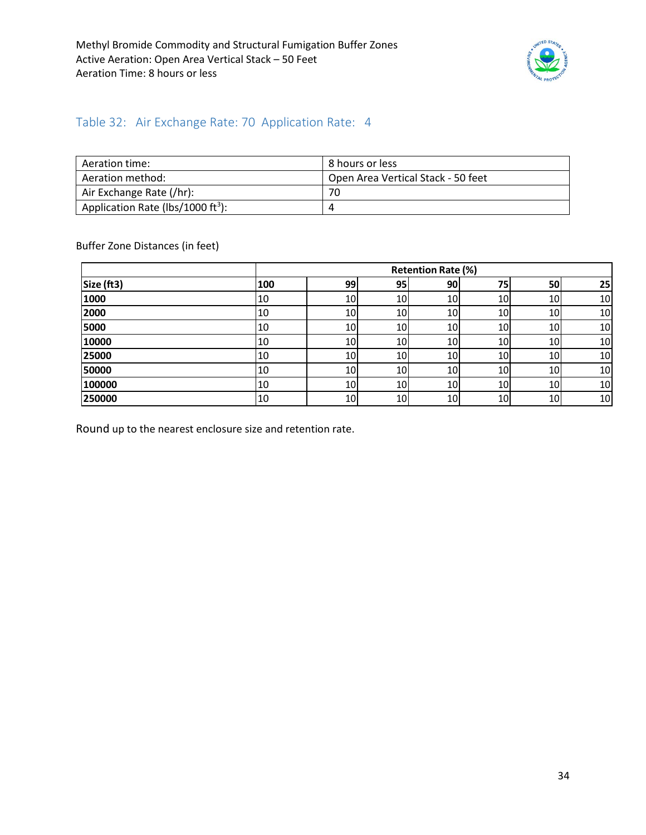

#### <span id="page-33-0"></span>Table 32: Air Exchange Rate: 70 Application Rate: 4

| Aeration time:                                | 8 hours or less                    |
|-----------------------------------------------|------------------------------------|
| Aeration method:                              | Open Area Vertical Stack - 50 feet |
| Air Exchange Rate (/hr):                      | 70                                 |
| Application Rate (lbs/1000 ft <sup>3</sup> ): | 4                                  |

Buffer Zone Distances (in feet)

|            |     |    |    | <b>Retention Rate (%)</b> |                 |           |    |
|------------|-----|----|----|---------------------------|-----------------|-----------|----|
| Size (ft3) | 100 | 99 | 95 | 90                        | 75              | 50        | 25 |
| 1000       | 10  | 10 | 10 | 10                        | 10              | 10        | 10 |
| 2000       | 10  | 10 | 10 | 10                        | 10              | <b>10</b> | 10 |
| 5000       | 10  | 10 | 10 | 10                        | 10              | 10        | 10 |
| 10000      | 10  | 10 | 10 | 10                        | 10              | 10        | 10 |
| 25000      | 10  | 10 | 10 | 10                        | 10 <sub>l</sub> | 10        | 10 |
| 50000      | 10  | 10 | 10 | 10                        | 10              | 10        | 10 |
| 100000     | 10  | 10 | 10 | 10                        | 10              | 10        | 10 |
| 250000     | 10  | 10 | 10 | 10                        | 10 <sub>l</sub> | 10        | 10 |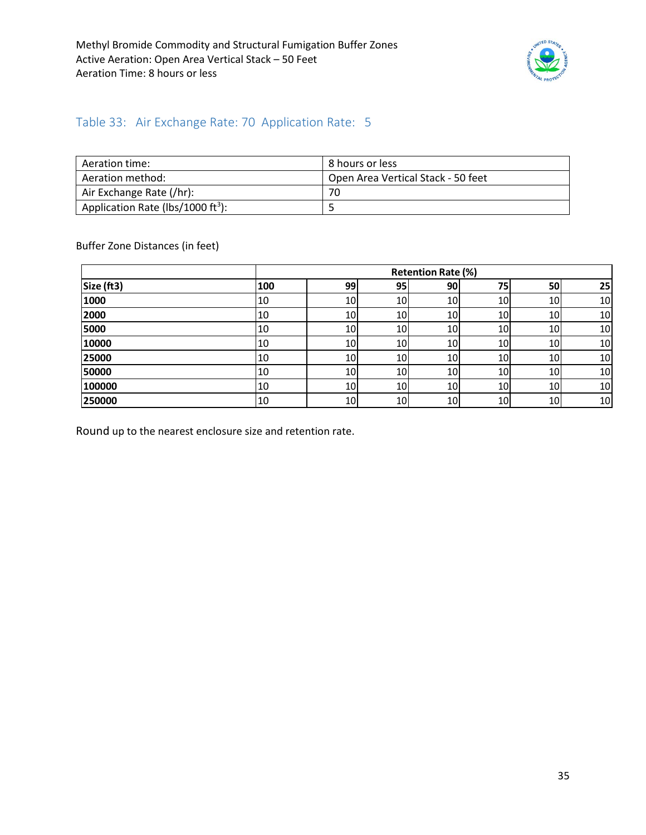

#### <span id="page-34-0"></span>Table 33: Air Exchange Rate: 70 Application Rate: 5

| Aeration time:                                | 8 hours or less                    |
|-----------------------------------------------|------------------------------------|
| Aeration method:                              | Open Area Vertical Stack - 50 feet |
| Air Exchange Rate (/hr):                      | 70                                 |
| Application Rate (lbs/1000 ft <sup>3</sup> ): |                                    |

Buffer Zone Distances (in feet)

|            |     |                 |                 | <b>Retention Rate (%)</b> |                 |     |    |
|------------|-----|-----------------|-----------------|---------------------------|-----------------|-----|----|
| Size (ft3) | 100 | 99              | 95              | 90                        | 75              | 50  | 25 |
| 1000       | 10  | 10              | 10              | 10                        | 10              | 10  | 10 |
| 2000       | 10  | 10              | <b>10</b>       | 10                        | 10              | 10  | 10 |
| 5000       | 10  | 10 <sup>1</sup> | 10I             | 10                        | 10              | 10  | 10 |
| 10000      | 10  | 10              | 10              | 10                        | 10              | 10  | 10 |
| 25000      | 10  | 10              | 10              | 10                        | 10              | 10  | 10 |
| 50000      | 10  | 10              | 10              | 10                        | 10 <sub>1</sub> | 10  | 10 |
| 100000     | 10  | 10              | 10 <sup>1</sup> | 10                        | 10              | 10I | 10 |
| 250000     | 10  | 10              | 10              | 10                        | 10              | 10  | 10 |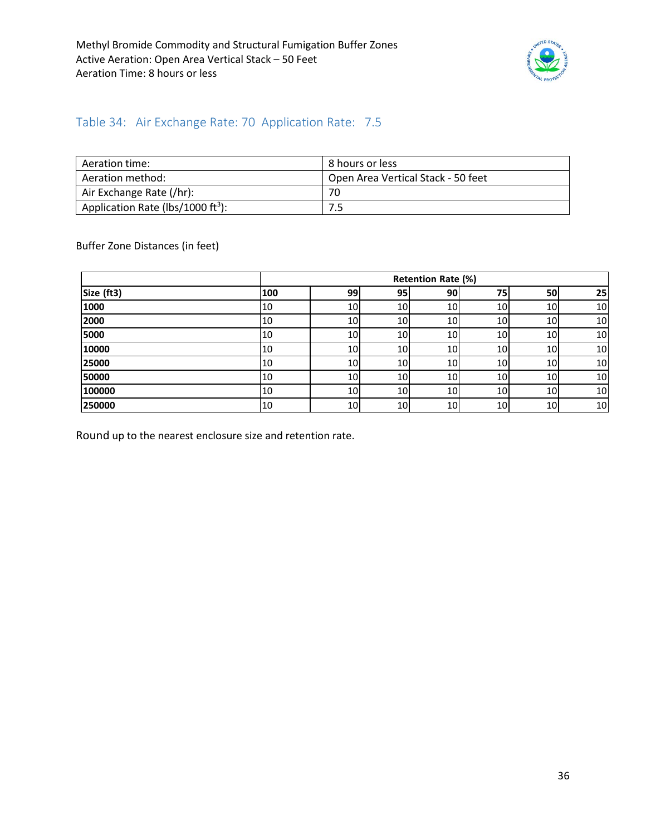

#### <span id="page-35-0"></span>Table 34: Air Exchange Rate: 70 Application Rate: 7.5

| Aeration time:                                | l 8 hours or less                  |
|-----------------------------------------------|------------------------------------|
| Aeration method:                              | Open Area Vertical Stack - 50 feet |
| Air Exchange Rate (/hr):                      | 70                                 |
| Application Rate (lbs/1000 ft <sup>3</sup> ): |                                    |

Buffer Zone Distances (in feet)

|            |     |                 |                 | <b>Retention Rate (%)</b> |                 |                 |    |
|------------|-----|-----------------|-----------------|---------------------------|-----------------|-----------------|----|
| Size (ft3) | 100 | 99              | 95              | 90                        | 75              | <b>50</b>       | 25 |
| 1000       | 10  | 10 <sup>1</sup> | 10 <sub>l</sub> | 10 <sup>1</sup>           | 10              | 10 <sup>1</sup> | 10 |
| 2000       | 10  | 10 <sup>1</sup> | 10 <sup>1</sup> | 10 <sub>l</sub>           | 10 <sub>l</sub> | 10 <sup>1</sup> | 10 |
| 5000       | 10  | 10 <sub>l</sub> | 10 <sub>l</sub> | 10 <sup>1</sup>           | 10              | 10 <sup>1</sup> | 10 |
| 10000      | 10  | 10 <sub>l</sub> | 10              | 10 <sup>1</sup>           | 10              | 10              | 10 |
| 25000      | 10  | 10 <sup>1</sup> | 10 <sub>l</sub> | 10 <sup>1</sup>           | 10              | 10 <sup>1</sup> | 10 |
| 50000      | 10  | 10              | 10 <sub>l</sub> | 10 <sup>1</sup>           | 10 <sup>1</sup> | 10 <sup>1</sup> | 10 |
| 100000     | 10  | 10 <sup>1</sup> | 10 <sup>1</sup> | 10 <sup>1</sup>           | 10 <sub>l</sub> | 10              | 10 |
| 250000     | 10  | 10 <sup>1</sup> | 10              | 10 <sub>l</sub>           | 10              | 10              | 10 |